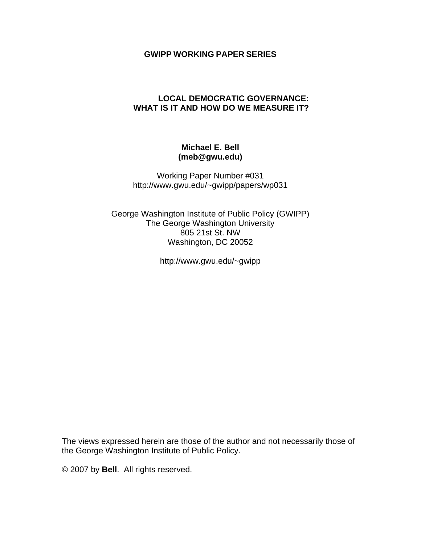## **GWIPP WORKING PAPER SERIES**

## **LOCAL DEMOCRATIC GOVERNANCE: WHAT IS IT AND HOW DO WE MEASURE IT?**

## **Michael E. Bell (meb@gwu.edu)**

Working Paper Number #031 http://www.gwu.edu/~gwipp/papers/wp031

George Washington Institute of Public Policy (GWIPP) The George Washington University 805 21st St. NW Washington, DC 20052

http://www.gwu.edu/~gwipp

The views expressed herein are those of the author and not necessarily those of the George Washington Institute of Public Policy.

© 2007 by **Bell**. All rights reserved.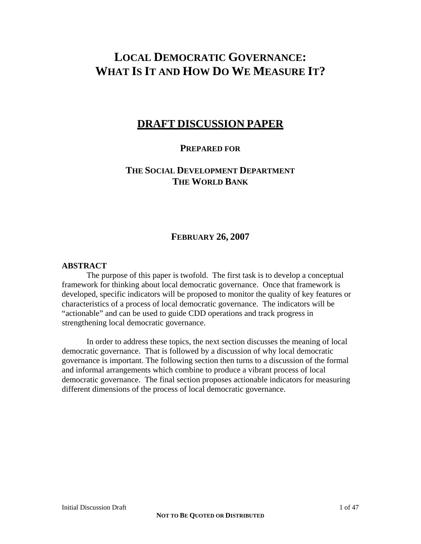# **LOCAL DEMOCRATIC GOVERNANCE: WHAT IS IT AND HOW DO WE MEASURE IT?**

# **DRAFT DISCUSSION PAPER**

## **PREPARED FOR**

# **THE SOCIAL DEVELOPMENT DEPARTMENT THE WORLD BANK**

## **FEBRUARY 26, 2007**

### **ABSTRACT**

 The purpose of this paper is twofold. The first task is to develop a conceptual framework for thinking about local democratic governance. Once that framework is developed, specific indicators will be proposed to monitor the quality of key features or characteristics of a process of local democratic governance. The indicators will be "actionable" and can be used to guide CDD operations and track progress in strengthening local democratic governance.

 In order to address these topics, the next section discusses the meaning of local democratic governance. That is followed by a discussion of why local democratic governance is important. The following section then turns to a discussion of the formal and informal arrangements which combine to produce a vibrant process of local democratic governance. The final section proposes actionable indicators for measuring different dimensions of the process of local democratic governance.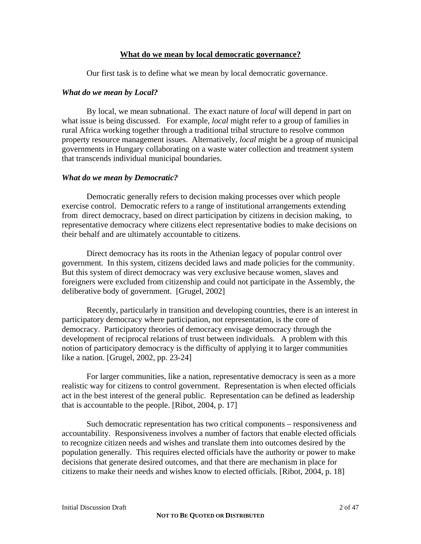#### **What do we mean by local democratic governance?**

Our first task is to define what we mean by local democratic governance.

#### *What do we mean by Local?*

By local, we mean subnational. The exact nature of *local* will depend in part on what issue is being discussed. For example, *local* might refer to a group of families in rural Africa working together through a traditional tribal structure to resolve common property resource management issues. Alternatively, *local* might be a group of municipal governments in Hungary collaborating on a waste water collection and treatment system that transcends individual municipal boundaries.

#### *What do we mean by Democratic?*

Democratic generally refers to decision making processes over which people exercise control. Democratic refers to a range of institutional arrangements extending from direct democracy, based on direct participation by citizens in decision making, to representative democracy where citizens elect representative bodies to make decisions on their behalf and are ultimately accountable to citizens.

Direct democracy has its roots in the Athenian legacy of popular control over government. In this system, citizens decided laws and made policies for the community. But this system of direct democracy was very exclusive because women, slaves and foreigners were excluded from citizenship and could not participate in the Assembly, the deliberative body of government. [Grugel, 2002]

Recently, particularly in transition and developing countries, there is an interest in participatory democracy where participation, not representation, is the core of democracy. Participatory theories of democracy envisage democracy through the development of reciprocal relations of trust between individuals. A problem with this notion of participatory democracy is the difficulty of applying it to larger communities like a nation. [Grugel, 2002, pp. 23-24]

For larger communities, like a nation, representative democracy is seen as a more realistic way for citizens to control government. Representation is when elected officials act in the best interest of the general public. Representation can be defined as leadership that is accountable to the people. [Ribot, 2004, p. 17]

Such democratic representation has two critical components – responsiveness and accountability. Responsiveness involves a number of factors that enable elected officials to recognize citizen needs and wishes and translate them into outcomes desired by the population generally. This requires elected officials have the authority or power to make decisions that generate desired outcomes, and that there are mechanism in place for citizens to make their needs and wishes know to elected officials. [Ribot, 2004, p. 18]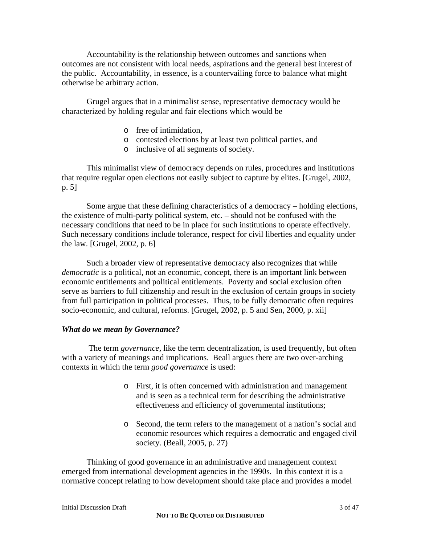Accountability is the relationship between outcomes and sanctions when outcomes are not consistent with local needs, aspirations and the general best interest of the public. Accountability, in essence, is a countervailing force to balance what might otherwise be arbitrary action.

Grugel argues that in a minimalist sense, representative democracy would be characterized by holding regular and fair elections which would be

- o free of intimidation,
- o contested elections by at least two political parties, and
- o inclusive of all segments of society.

This minimalist view of democracy depends on rules, procedures and institutions that require regular open elections not easily subject to capture by elites. [Grugel, 2002, p. 5]

Some argue that these defining characteristics of a democracy – holding elections, the existence of multi-party political system, etc. – should not be confused with the necessary conditions that need to be in place for such institutions to operate effectively. Such necessary conditions include tolerance, respect for civil liberties and equality under the law. [Grugel, 2002, p. 6]

Such a broader view of representative democracy also recognizes that while *democratic* is a political, not an economic, concept, there is an important link between economic entitlements and political entitlements. Poverty and social exclusion often serve as barriers to full citizenship and result in the exclusion of certain groups in society from full participation in political processes. Thus, to be fully democratic often requires socio-economic, and cultural, reforms. [Grugel, 2002, p. 5 and Sen, 2000, p. xii]

#### *What do we mean by Governance?*

 The term *governance,* like the term decentralization, is used frequently, but often with a variety of meanings and implications. Beall argues there are two over-arching contexts in which the term *good governance* is used:

- o First, it is often concerned with administration and management and is seen as a technical term for describing the administrative effectiveness and efficiency of governmental institutions;
- o Second, the term refers to the management of a nation's social and economic resources which requires a democratic and engaged civil society. (Beall, 2005, p. 27)

Thinking of good governance in an administrative and management context emerged from international development agencies in the 1990s. In this context it is a normative concept relating to how development should take place and provides a model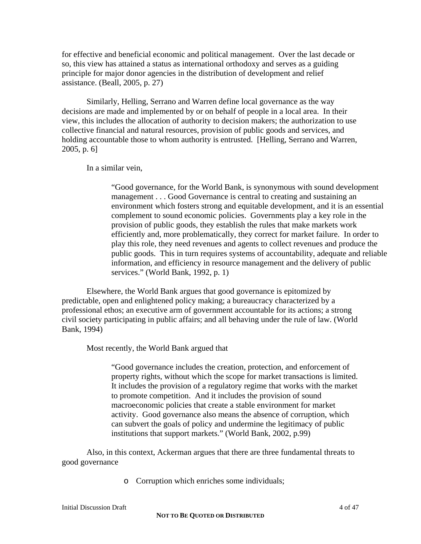for effective and beneficial economic and political management. Over the last decade or so, this view has attained a status as international orthodoxy and serves as a guiding principle for major donor agencies in the distribution of development and relief assistance. (Beall, 2005, p. 27)

Similarly, Helling, Serrano and Warren define local governance as the way decisions are made and implemented by or on behalf of people in a local area. In their view, this includes the allocation of authority to decision makers; the authorization to use collective financial and natural resources, provision of public goods and services, and holding accountable those to whom authority is entrusted. [Helling, Serrano and Warren, 2005, p. 6]

In a similar vein,

"Good governance, for the World Bank, is synonymous with sound development management . . . Good Governance is central to creating and sustaining an environment which fosters strong and equitable development, and it is an essential complement to sound economic policies. Governments play a key role in the provision of public goods, they establish the rules that make markets work efficiently and, more problematically, they correct for market failure. In order to play this role, they need revenues and agents to collect revenues and produce the public goods. This in turn requires systems of accountability, adequate and reliable information, and efficiency in resource management and the delivery of public services." (World Bank, 1992, p. 1)

Elsewhere, the World Bank argues that good governance is epitomized by predictable, open and enlightened policy making; a bureaucracy characterized by a professional ethos; an executive arm of government accountable for its actions; a strong civil society participating in public affairs; and all behaving under the rule of law. (World Bank, 1994)

Most recently, the World Bank argued that

"Good governance includes the creation, protection, and enforcement of property rights, without which the scope for market transactions is limited. It includes the provision of a regulatory regime that works with the market to promote competition. And it includes the provision of sound macroeconomic policies that create a stable environment for market activity. Good governance also means the absence of corruption, which can subvert the goals of policy and undermine the legitimacy of public institutions that support markets." (World Bank, 2002, p.99)

Also, in this context, Ackerman argues that there are three fundamental threats to good governance

o Corruption which enriches some individuals;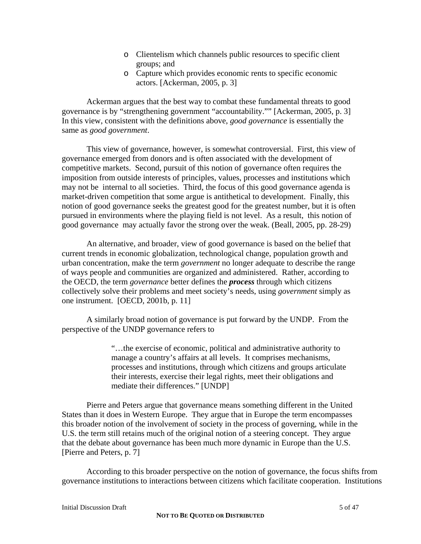- o Clientelism which channels public resources to specific client groups; and
- o Capture which provides economic rents to specific economic actors. [Ackerman, 2005, p. 3]

Ackerman argues that the best way to combat these fundamental threats to good governance is by "strengthening government "accountability."" [Ackerman, 2005, p. 3] In this view, consistent with the definitions above, *good governance* is essentially the same as *good government*.

This view of governance, however, is somewhat controversial. First, this view of governance emerged from donors and is often associated with the development of competitive markets. Second, pursuit of this notion of governance often requires the imposition from outside interests of principles, values, processes and institutions which may not be internal to all societies. Third, the focus of this good governance agenda is market-driven competition that some argue is antithetical to development. Finally, this notion of good governance seeks the greatest good for the greatest number, but it is often pursued in environments where the playing field is not level. As a result, this notion of good governance may actually favor the strong over the weak. (Beall, 2005, pp. 28-29)

An alternative, and broader, view of good governance is based on the belief that current trends in economic globalization, technological change, population growth and urban concentration, make the term *government* no longer adequate to describe the range of ways people and communities are organized and administered. Rather, according to the OECD, the term *governance* better defines the *process* through which citizens collectively solve their problems and meet society's needs, using *government* simply as one instrument. [OECD, 2001b, p. 11]

A similarly broad notion of governance is put forward by the UNDP. From the perspective of the UNDP governance refers to

> "…the exercise of economic, political and administrative authority to manage a country's affairs at all levels. It comprises mechanisms, processes and institutions, through which citizens and groups articulate their interests, exercise their legal rights, meet their obligations and mediate their differences." [UNDP]

Pierre and Peters argue that governance means something different in the United States than it does in Western Europe. They argue that in Europe the term encompasses this broader notion of the involvement of society in the process of governing, while in the U.S. the term still retains much of the original notion of a steering concept. They argue that the debate about governance has been much more dynamic in Europe than the U.S. [Pierre and Peters, p. 7]

According to this broader perspective on the notion of governance, the focus shifts from governance institutions to interactions between citizens which facilitate cooperation. Institutions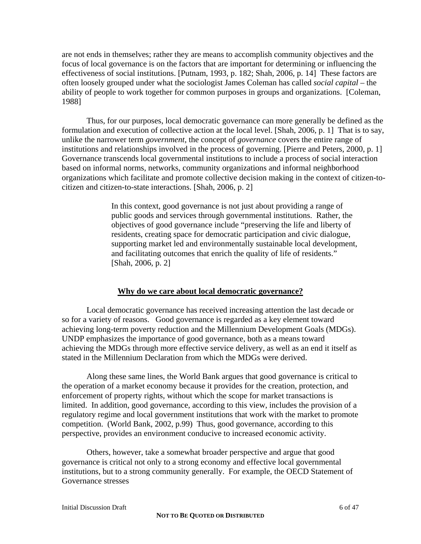are not ends in themselves; rather they are means to accomplish community objectives and the focus of local governance is on the factors that are important for determining or influencing the effectiveness of social institutions. [Putnam, 1993, p. 182; Shah, 2006, p. 14] These factors are often loosely grouped under what the sociologist James Coleman has called *social capital* – the ability of people to work together for common purposes in groups and organizations. [Coleman, 1988]

Thus, for our purposes, local democratic governance can more generally be defined as the formulation and execution of collective action at the local level. [Shah, 2006, p. 1] That is to say, unlike the narrower term *government*, the concept of *governance* covers the entire range of institutions and relationships involved in the process of governing. [Pierre and Peters, 2000, p. 1] Governance transcends local governmental institutions to include a process of social interaction based on informal norms, networks, community organizations and informal neighborhood organizations which facilitate and promote collective decision making in the context of citizen-tocitizen and citizen-to-state interactions. [Shah, 2006, p. 2]

> In this context, good governance is not just about providing a range of public goods and services through governmental institutions. Rather, the objectives of good governance include "preserving the life and liberty of residents, creating space for democratic participation and civic dialogue, supporting market led and environmentally sustainable local development, and facilitating outcomes that enrich the quality of life of residents." [Shah, 2006, p. 2]

#### **Why do we care about local democratic governance?**

 Local democratic governance has received increasing attention the last decade or so for a variety of reasons. Good governance is regarded as a key element toward achieving long-term poverty reduction and the Millennium Development Goals (MDGs). UNDP emphasizes the importance of good governance, both as a means toward achieving the MDGs through more effective service delivery, as well as an end it itself as stated in the Millennium Declaration from which the MDGs were derived.

Along these same lines, the World Bank argues that good governance is critical to the operation of a market economy because it provides for the creation, protection, and enforcement of property rights, without which the scope for market transactions is limited. In addition, good governance, according to this view, includes the provision of a regulatory regime and local government institutions that work with the market to promote competition. (World Bank, 2002, p.99) Thus, good governance, according to this perspective, provides an environment conducive to increased economic activity.

Others, however, take a somewhat broader perspective and argue that good governance is critical not only to a strong economy and effective local governmental institutions, but to a strong community generally. For example, the OECD Statement of Governance stresses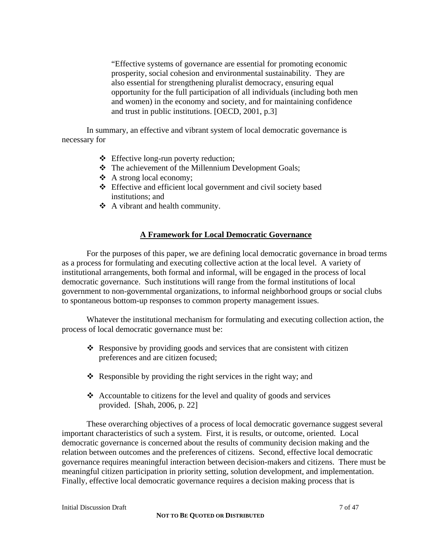"Effective systems of governance are essential for promoting economic prosperity, social cohesion and environmental sustainability. They are also essential for strengthening pluralist democracy, ensuring equal opportunity for the full participation of all individuals (including both men and women) in the economy and society, and for maintaining confidence and trust in public institutions. [OECD, 2001, p.3]

 In summary, an effective and vibrant system of local democratic governance is necessary for

- Effective long-run poverty reduction;
- \* The achievement of the Millennium Development Goals;
- A strong local economy;
- Effective and efficient local government and civil society based institutions; and
- A vibrant and health community.

## **A Framework for Local Democratic Governance**

 For the purposes of this paper, we are defining local democratic governance in broad terms as a process for formulating and executing collective action at the local level. A variety of institutional arrangements, both formal and informal, will be engaged in the process of local democratic governance. Such institutions will range from the formal institutions of local government to non-governmental organizations, to informal neighborhood groups or social clubs to spontaneous bottom-up responses to common property management issues.

 Whatever the institutional mechanism for formulating and executing collection action, the process of local democratic governance must be:

- $\hat{\mathbf{r}}$  Responsive by providing goods and services that are consistent with citizen preferences and are citizen focused;
- $\triangle$  Responsible by providing the right services in the right way; and
- $\triangleleft$  Accountable to citizens for the level and quality of goods and services provided. [Shah, 2006, p. 22]

 These overarching objectives of a process of local democratic governance suggest several important characteristics of such a system. First, it is results, or outcome, oriented. Local democratic governance is concerned about the results of community decision making and the relation between outcomes and the preferences of citizens. Second, effective local democratic governance requires meaningful interaction between decision-makers and citizens. There must be meaningful citizen participation in priority setting, solution development, and implementation. Finally, effective local democratic governance requires a decision making process that is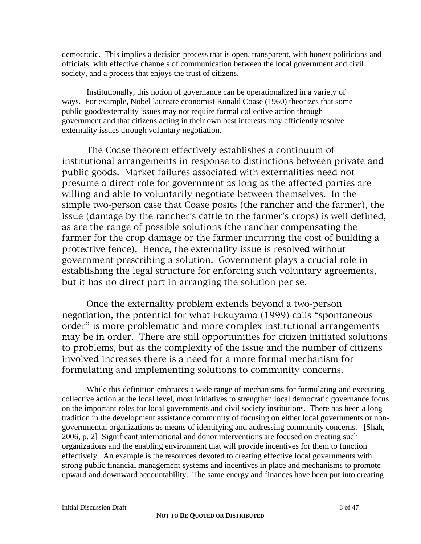democratic. This implies a decision process that is open, transparent, with honest politicians and officials, with effective channels of communication between the local government and civil society, and a process that enjoys the trust of citizens.

Institutionally, this notion of governance can be operationalized in a variety of ways. For example, Nobel laureate economist Ronald Coase (1960) theorizes that some public good/externality issues may not require formal collective action through government and that citizens acting in their own best interests may efficiently resolve externality issues through voluntary negotiation.

The Coase theorem effectively establishes a continuum of institutional arrangements in response to distinctions between private and public goods. Market failures associated with externalities need not presume a direct role for government as long as the affected parties are willing and able to voluntarily negotiate between themselves. In the simple two-person case that Coase posits (the rancher and the farmer), the issue (damage by the rancher's cattle to the farmer's crops) is well defined, as are the range of possible solutions (the rancher compensating the farmer for the crop damage or the farmer incurring the cost of building a protective fence). Hence, the externality issue is resolved without government prescribing a solution. Government plays a crucial role in establishing the legal structure for enforcing such voluntary agreements, but it has no direct part in arranging the solution per se.

Once the externality problem extends beyond a two-person negotiation, the potential for what Fukuyama (1999) calls "spontaneous order" is more problematic and more complex institutional arrangements may be in order. There are still opportunities for citizen initiated solutions to problems, but as the complexity of the issue and the number of citizens involved increases there is a need for a more formal mechanism for formulating and implementing solutions to community concerns.

While this definition embraces a wide range of mechanisms for formulating and executing collective action at the local level, most initiatives to strengthen local democratic governance focus on the important roles for local governments and civil society institutions. There has been a long tradition in the development assistance community of focusing on either local governments or nongovernmental organizations as means of identifying and addressing community concerns. [Shah, 2006, p. 2] Significant international and donor interventions are focused on creating such organizations and the enabling environment that will provide incentives for them to function effectively. An example is the resources devoted to creating effective local governments with strong public financial management systems and incentives in place and mechanisms to promote upward and downward accountability. The same energy and finances have been put into creating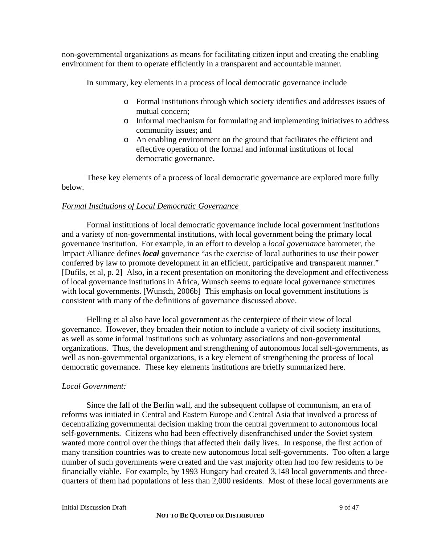non-governmental organizations as means for facilitating citizen input and creating the enabling environment for them to operate efficiently in a transparent and accountable manner.

In summary, key elements in a process of local democratic governance include

- o Formal institutions through which society identifies and addresses issues of mutual concern;
- o Informal mechanism for formulating and implementing initiatives to address community issues; and
- o An enabling environment on the ground that facilitates the efficient and effective operation of the formal and informal institutions of local democratic governance.

These key elements of a process of local democratic governance are explored more fully below.

#### *Formal Institutions of Local Democratic Governance*

 Formal institutions of local democratic governance include local government institutions and a variety of non-governmental institutions, with local government being the primary local governance institution. For example, in an effort to develop a *local governance* barometer, the Impact Alliance defines *local* governance "as the exercise of local authorities to use their power conferred by law to promote development in an efficient, participative and transparent manner." [Dufils, et al, p. 2] Also, in a recent presentation on monitoring the development and effectiveness of local governance institutions in Africa, Wunsch seems to equate local governance structures with local governments. [Wunsch, 2006b] This emphasis on local government institutions is consistent with many of the definitions of governance discussed above.

Helling et al also have local government as the centerpiece of their view of local governance. However, they broaden their notion to include a variety of civil society institutions, as well as some informal institutions such as voluntary associations and non-governmental organizations. Thus, the development and strengthening of autonomous local self-governments, as well as non-governmental organizations, is a key element of strengthening the process of local democratic governance. These key elements institutions are briefly summarized here.

#### *Local Government:*

 Since the fall of the Berlin wall, and the subsequent collapse of communism, an era of reforms was initiated in Central and Eastern Europe and Central Asia that involved a process of decentralizing governmental decision making from the central government to autonomous local self-governments. Citizens who had been effectively disenfranchised under the Soviet system wanted more control over the things that affected their daily lives. In response, the first action of many transition countries was to create new autonomous local self-governments. Too often a large number of such governments were created and the vast majority often had too few residents to be financially viable. For example, by 1993 Hungary had created 3,148 local governments and threequarters of them had populations of less than 2,000 residents. Most of these local governments are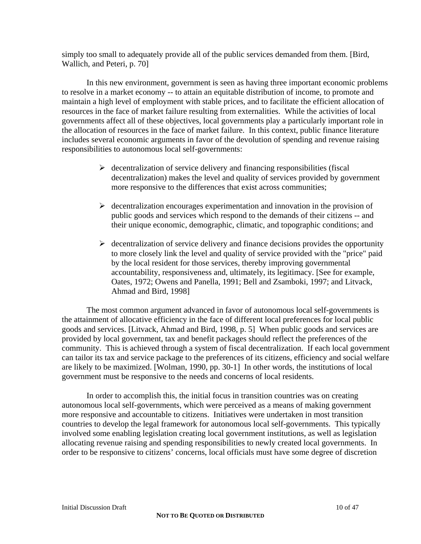simply too small to adequately provide all of the public services demanded from them. [Bird, Wallich, and Peteri, p. 70]

In this new environment, government is seen as having three important economic problems to resolve in a market economy -- to attain an equitable distribution of income, to promote and maintain a high level of employment with stable prices, and to facilitate the efficient allocation of resources in the face of market failure resulting from externalities. While the activities of local governments affect all of these objectives, local governments play a particularly important role in the allocation of resources in the face of market failure. In this context, public finance literature includes several economic arguments in favor of the devolution of spending and revenue raising responsibilities to autonomous local self-governments:

- $\triangleright$  decentralization of service delivery and financing responsibilities (fiscal decentralization) makes the level and quality of services provided by government more responsive to the differences that exist across communities;
- $\triangleright$  decentralization encourages experimentation and innovation in the provision of public goods and services which respond to the demands of their citizens -- and their unique economic, demographic, climatic, and topographic conditions; and
- $\triangleright$  decentralization of service delivery and finance decisions provides the opportunity to more closely link the level and quality of service provided with the "price" paid by the local resident for those services, thereby improving governmental accountability, responsiveness and, ultimately, its legitimacy. [See for example, Oates, 1972; Owens and Panella, 1991; Bell and Zsamboki, 1997; and Litvack, Ahmad and Bird, 1998]

 The most common argument advanced in favor of autonomous local self-governments is the attainment of allocative efficiency in the face of different local preferences for local public goods and services. [Litvack, Ahmad and Bird, 1998, p. 5] When public goods and services are provided by local government, tax and benefit packages should reflect the preferences of the community. This is achieved through a system of fiscal decentralization. If each local government can tailor its tax and service package to the preferences of its citizens, efficiency and social welfare are likely to be maximized. [Wolman, 1990, pp. 30-1] In other words, the institutions of local government must be responsive to the needs and concerns of local residents.

In order to accomplish this, the initial focus in transition countries was on creating autonomous local self-governments, which were perceived as a means of making government more responsive and accountable to citizens. Initiatives were undertaken in most transition countries to develop the legal framework for autonomous local self-governments. This typically involved some enabling legislation creating local government institutions, as well as legislation allocating revenue raising and spending responsibilities to newly created local governments. In order to be responsive to citizens' concerns, local officials must have some degree of discretion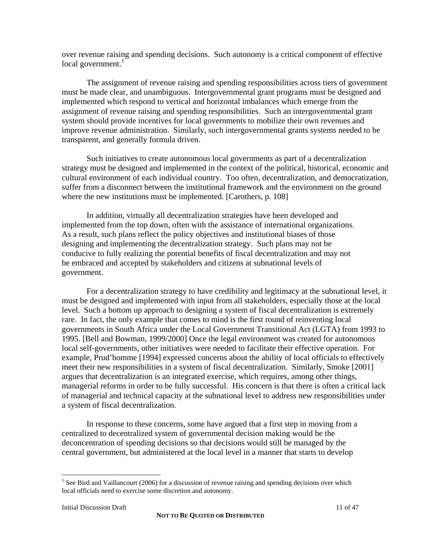over revenue raising and spending decisions. Such autonomy is a critical component of effective local government. $<sup>1</sup>$ </sup>

The assignment of revenue raising and spending responsibilities across tiers of government must be made clear, and unambiguous. Intergovernmental grant programs must be designed and implemented which respond to vertical and horizontal imbalances which emerge from the assignment of revenue raising and spending responsibilities. Such an intergovernmental grant system should provide incentives for local governments to mobilize their own revenues and improve revenue administration. Similarly, such intergovernmental grants systems needed to be transparent, and generally formula driven.

 Such initiatives to create autonomous local governments as part of a decentralization strategy must be designed and implemented in the context of the political, historical, economic and cultural environment of each individual country. Too often, decentralization, and democratization, suffer from a disconnect between the institutional framework and the environment on the ground where the new institutions must be implemented. [Carothers, p. 108]

In addition, virtually all decentralization strategies have been developed and implemented from the top down, often with the assistance of international organizations. As a result, such plans reflect the policy objectives and institutional biases of those designing and implementing the decentralization strategy. Such plans may not be conducive to fully realizing the potential benefits of fiscal decentralization and may not be embraced and accepted by stakeholders and citizens at subnational levels of government.

For a decentralization strategy to have credibility and legitimacy at the subnational level, it must be designed and implemented with input from all stakeholders, especially those at the local level. Such a bottom up approach to designing a system of fiscal decentralization is extremely rare. In fact, the only example that comes to mind is the first round of reinventing local governments in South Africa under the Local Government Transitional Act (LGTA) from 1993 to 1995. [Bell and Bowman, 1999/2000] Once the legal environment was created for autonomous local self-governments, other initiatives were needed to facilitate their effective operation. For example, Prud'homme [1994] expressed concerns about the ability of local officials to effectively meet their new responsibilities in a system of fiscal decentralization. Similarly, Smoke [2001] argues that decentralization is an integrated exercise, which requires, among other things, managerial reforms in order to be fully successful. His concern is that there is often a critical lack of managerial and technical capacity at the subnational level to address new responsibilities under a system of fiscal decentralization.

In response to these concerns, some have argued that a first step in moving from a centralized to decentralized system of governmental decision making would be the deconcentration of spending decisions so that decisions would still be managed by the central government, but administered at the local level in a manner that starts to develop

1

<sup>&</sup>lt;sup>1</sup> See Bird and Vaillancourt (2006) for a discussion of revenue raising and spending decisions over which local officials need to exercise some discretion and autonomy.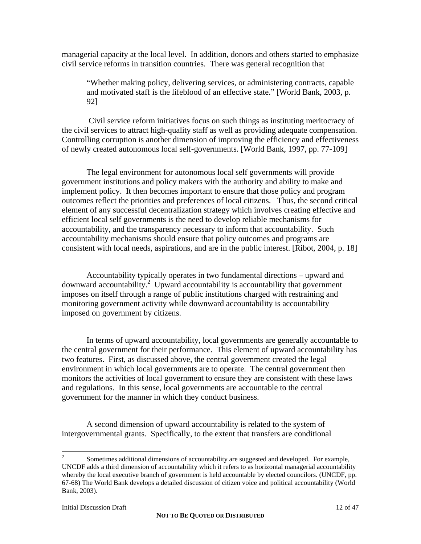managerial capacity at the local level. In addition, donors and others started to emphasize civil service reforms in transition countries. There was general recognition that

"Whether making policy, delivering services, or administering contracts, capable and motivated staff is the lifeblood of an effective state." [World Bank, 2003, p. 92]

 Civil service reform initiatives focus on such things as instituting meritocracy of the civil services to attract high-quality staff as well as providing adequate compensation. Controlling corruption is another dimension of improving the efficiency and effectiveness of newly created autonomous local self-governments. [World Bank, 1997, pp. 77-109]

The legal environment for autonomous local self governments will provide government institutions and policy makers with the authority and ability to make and implement policy. It then becomes important to ensure that those policy and program outcomes reflect the priorities and preferences of local citizens. Thus, the second critical element of any successful decentralization strategy which involves creating effective and efficient local self governments is the need to develop reliable mechanisms for accountability, and the transparency necessary to inform that accountability. Such accountability mechanisms should ensure that policy outcomes and programs are consistent with local needs, aspirations, and are in the public interest. [Ribot, 2004, p. 18]

Accountability typically operates in two fundamental directions – upward and  $downward$  accountability.<sup>2</sup> Upward accountability is accountability that government imposes on itself through a range of public institutions charged with restraining and monitoring government activity while downward accountability is accountability imposed on government by citizens.

In terms of upward accountability, local governments are generally accountable to the central government for their performance. This element of upward accountability has two features. First, as discussed above, the central government created the legal environment in which local governments are to operate. The central government then monitors the activities of local government to ensure they are consistent with these laws and regulations. In this sense, local governments are accountable to the central government for the manner in which they conduct business.

A second dimension of upward accountability is related to the system of intergovernmental grants. Specifically, to the extent that transfers are conditional

 $\frac{1}{2}$  Sometimes additional dimensions of accountability are suggested and developed. For example, UNCDF adds a third dimension of accountability which it refers to as horizontal managerial accountability whereby the local executive branch of government is held accountable by elected councilors. (UNCDF, pp. 67-68) The World Bank develops a detailed discussion of citizen voice and political accountability (World Bank, 2003).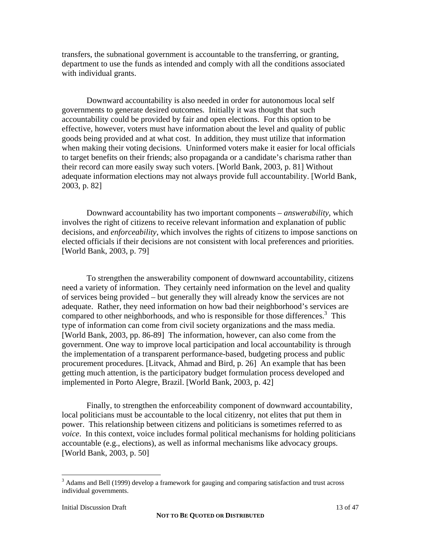transfers, the subnational government is accountable to the transferring, or granting, department to use the funds as intended and comply with all the conditions associated with individual grants.

Downward accountability is also needed in order for autonomous local self governments to generate desired outcomes. Initially it was thought that such accountability could be provided by fair and open elections. For this option to be effective, however, voters must have information about the level and quality of public goods being provided and at what cost. In addition, they must utilize that information when making their voting decisions. Uninformed voters make it easier for local officials to target benefits on their friends; also propaganda or a candidate's charisma rather than their record can more easily sway such voters. [World Bank, 2003, p. 81] Without adequate information elections may not always provide full accountability. [World Bank, 2003, p. 82]

Downward accountability has two important components – *answerability,* which involves the right of citizens to receive relevant information and explanation of public decisions, and *enforceability*, which involves the rights of citizens to impose sanctions on elected officials if their decisions are not consistent with local preferences and priorities. [World Bank, 2003, p. 79]

To strengthen the answerability component of downward accountability, citizens need a variety of information. They certainly need information on the level and quality of services being provided – but generally they will already know the services are not adequate. Rather, they need information on how bad their neighborhood's services are compared to other neighborhoods, and who is responsible for those differences.<sup>3</sup> This type of information can come from civil society organizations and the mass media. [World Bank, 2003, pp. 86-89] The information, however, can also come from the government. One way to improve local participation and local accountability is through the implementation of a transparent performance-based, budgeting process and public procurement procedures. [Litvack, Ahmad and Bird, p. 26] An example that has been getting much attention, is the participatory budget formulation process developed and implemented in Porto Alegre, Brazil. [World Bank, 2003, p. 42]

Finally, to strengthen the enforceability component of downward accountability, local politicians must be accountable to the local citizenry, not elites that put them in power. This relationship between citizens and politicians is sometimes referred to as *voice*. In this context, voice includes formal political mechanisms for holding politicians accountable (e.g., elections), as well as informal mechanisms like advocacy groups. [World Bank, 2003, p. 50]

<sup>&</sup>lt;sup>3</sup> Adams and Bell (1999) develop a framework for gauging and comparing satisfaction and trust across individual governments.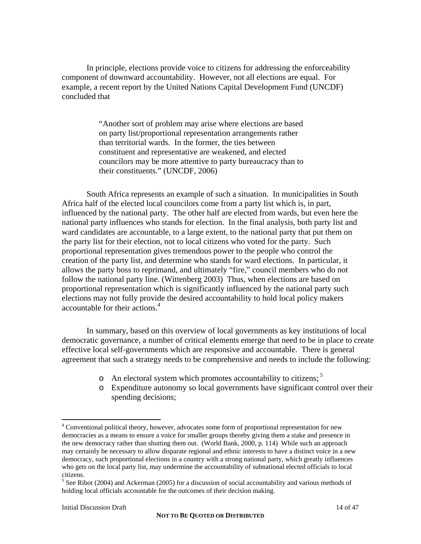In principle, elections provide voice to citizens for addressing the enforceability component of downward accountability. However, not all elections are equal. For example, a recent report by the United Nations Capital Development Fund (UNCDF) concluded that

> "Another sort of problem may arise where elections are based on party list/proportional representation arrangements rather than territorial wards. In the former, the ties between constituent and representative are weakened, and elected councilors may be more attentive to party bureaucracy than to their constituents." (UNCDF, 2006)

South Africa represents an example of such a situation. In municipalities in South Africa half of the elected local councilors come from a party list which is, in part, influenced by the national party. The other half are elected from wards, but even here the national party influences who stands for election. In the final analysis, both party list and ward candidates are accountable, to a large extent, to the national party that put them on the party list for their election, not to local citizens who voted for the party. Such proportional representation gives tremendous power to the people who control the creation of the party list, and determine who stands for ward elections. In particular, it allows the party boss to reprimand, and ultimately "fire," council members who do not follow the national party line. (Wittenberg 2003) Thus, when elections are based on proportional representation which is significantly influenced by the national party such elections may not fully provide the desired accountability to hold local policy makers accountable for their actions.<sup>4</sup>

In summary, based on this overview of local governments as key institutions of local democratic governance, a number of critical elements emerge that need to be in place to create effective local self-governments which are responsive and accountable. There is general agreement that such a strategy needs to be comprehensive and needs to include the following:

- $\circ$  An electoral system which promotes accountability to citizens;  $\frac{5}{2}$
- o Expenditure autonomy so local governments have significant control over their spending decisions;

1

<sup>&</sup>lt;sup>4</sup> Conventional political theory, however, advocates some form of proportional representation for new democracies as a means to ensure a voice for smaller groups thereby giving them a stake and presence in the new democracy rather than shutting them out. (World Bank, 2000, p. 114) While such an approach may certainly be necessary to allow disparate regional and ethnic interests to have a distinct voice in a new democracy, such proportional elections in a country with a strong national party, which greatly influences who gets on the local party list, may undermine the accountability of subnational elected officials to local citizens.

<sup>&</sup>lt;sup>5</sup> See Ribot (2004) and Ackerman (2005) for a discussion of social accountability and various methods of holding local officials accountable for the outcomes of their decision making.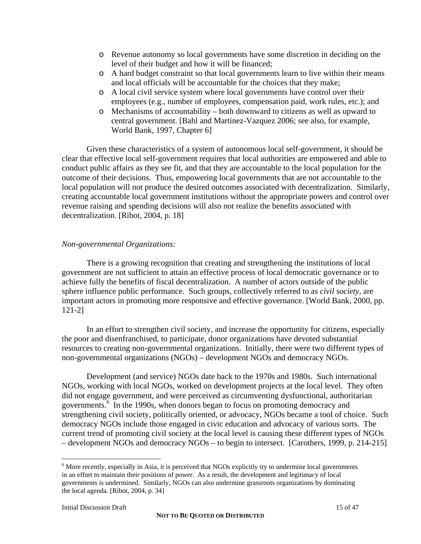- o Revenue autonomy so local governments have some discretion in deciding on the level of their budget and how it will be financed;
- o A hard budget constraint so that local governments learn to live within their means and local officials will be accountable for the choices that they make;
- o A local civil service system where local governments have control over their employees (e.g., number of employees, compensation paid, work rules, etc.); and
- o Mechanisms of accountability both downward to citizens as well as upward to central government. [Bahl and Martinez-Vazquez 2006; see also, for example, World Bank, 1997, Chapter 6]

Given these characteristics of a system of autonomous local self-government, it should be clear that effective local self-government requires that local authorities are empowered and able to conduct public affairs as they see fit, and that they are accountable to the local population for the outcome of their decisions. Thus, empowering local governments that are not accountable to the local population will not produce the desired outcomes associated with decentralization. Similarly, creating accountable local government institutions without the appropriate powers and control over revenue raising and spending decisions will also not realize the benefits associated with decentralization. [Ribot, 2004, p. 18]

## *Non-governmental Organizations:*

 There is a growing recognition that creating and strengthening the institutions of local government are not sufficient to attain an effective process of local democratic governance or to achieve fully the benefits of fiscal decentralization. A number of actors outside of the public sphere influence public performance. Such groups, collectively referred to as *civil society,* are important actors in promoting more responsive and effective governance. [World Bank, 2000, pp. 121-2]

In an effort to strengthen civil society, and increase the opportunity for citizens, especially the poor and disenfranchised, to participate, donor organizations have devoted substantial resources to creating non-governmental organizations. Initially, there were two different types of non-governmental organizations (NGOs) – development NGOs and democracy NGOs.

Development (and service) NGOs date back to the 1970s and 1980s. Such international NGOs, working with local NGOs, worked on development projects at the local level. They often did not engage government, and were perceived as circumventing dysfunctional, authoritarian governments.<sup>6</sup> In the 1990s, when donors began to focus on promoting democracy and strengthening civil society, politically oriented, or advocacy, NGOs became a tool of choice. Such democracy NGOs include those engaged in civic education and advocacy of various sorts. The current trend of promoting civil society at the local level is causing these different types of NGOs – development NGOs and democracy NGOs – to begin to intersect. [Carothers, 1999, p. 214-215]

 $\overline{a}$ 

<sup>&</sup>lt;sup>6</sup> More recently, especially in Asia, it is perceived that NGOs explicitly try to undermine local governments in an effort to maintain their positions of power. As a result, the development and legitimacy of local governments is undermined. Similarly, NGOs can also undermine grassroots organizations by dominating the local agenda. [Ribot, 2004, p. 34]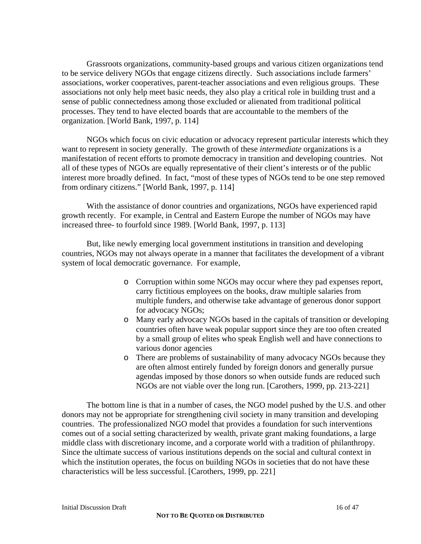Grassroots organizations, community-based groups and various citizen organizations tend to be service delivery NGOs that engage citizens directly. Such associations include farmers' associations, worker cooperatives, parent-teacher associations and even religious groups. These associations not only help meet basic needs, they also play a critical role in building trust and a sense of public connectedness among those excluded or alienated from traditional political processes. They tend to have elected boards that are accountable to the members of the organization. [World Bank, 1997, p. 114]

NGOs which focus on civic education or advocacy represent particular interests which they want to represent in society generally. The growth of these *intermediate* organizations is a manifestation of recent efforts to promote democracy in transition and developing countries. Not all of these types of NGOs are equally representative of their client's interests or of the public interest more broadly defined. In fact, "most of these types of NGOs tend to be one step removed from ordinary citizens." [World Bank, 1997, p. 114]

With the assistance of donor countries and organizations, NGOs have experienced rapid growth recently. For example, in Central and Eastern Europe the number of NGOs may have increased three- to fourfold since 1989. [World Bank, 1997, p. 113]

But, like newly emerging local government institutions in transition and developing countries, NGOs may not always operate in a manner that facilitates the development of a vibrant system of local democratic governance. For example,

- o Corruption within some NGOs may occur where they pad expenses report, carry fictitious employees on the books, draw multiple salaries from multiple funders, and otherwise take advantage of generous donor support for advocacy NGOs;
- o Many early advocacy NGOs based in the capitals of transition or developing countries often have weak popular support since they are too often created by a small group of elites who speak English well and have connections to various donor agencies
- o There are problems of sustainability of many advocacy NGOs because they are often almost entirely funded by foreign donors and generally pursue agendas imposed by those donors so when outside funds are reduced such NGOs are not viable over the long run. [Carothers, 1999, pp. 213-221]

The bottom line is that in a number of cases, the NGO model pushed by the U.S. and other donors may not be appropriate for strengthening civil society in many transition and developing countries. The professionalized NGO model that provides a foundation for such interventions comes out of a social setting characterized by wealth, private grant making foundations, a large middle class with discretionary income, and a corporate world with a tradition of philanthropy. Since the ultimate success of various institutions depends on the social and cultural context in which the institution operates, the focus on building NGOs in societies that do not have these characteristics will be less successful. [Carothers, 1999, pp. 221]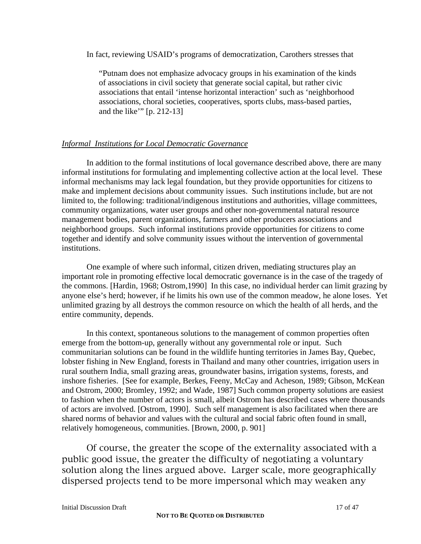In fact, reviewing USAID's programs of democratization, Carothers stresses that

"Putnam does not emphasize advocacy groups in his examination of the kinds of associations in civil society that generate social capital, but rather civic associations that entail 'intense horizontal interaction' such as 'neighborhood associations, choral societies, cooperatives, sports clubs, mass-based parties, and the like'" [p. 212-13]

## *Informal Institutions for Local Democratic Governance*

In addition to the formal institutions of local governance described above, there are many informal institutions for formulating and implementing collective action at the local level. These informal mechanisms may lack legal foundation, but they provide opportunities for citizens to make and implement decisions about community issues. Such institutions include, but are not limited to, the following: traditional/indigenous institutions and authorities, village committees, community organizations, water user groups and other non-governmental natural resource management bodies, parent organizations, farmers and other producers associations and neighborhood groups. Such informal institutions provide opportunities for citizens to come together and identify and solve community issues without the intervention of governmental institutions.

One example of where such informal, citizen driven, mediating structures play an important role in promoting effective local democratic governance is in the case of the tragedy of the commons. [Hardin, 1968; Ostrom,1990] In this case, no individual herder can limit grazing by anyone else's herd; however, if he limits his own use of the common meadow, he alone loses. Yet unlimited grazing by all destroys the common resource on which the health of all herds, and the entire community, depends.

In this context, spontaneous solutions to the management of common properties often emerge from the bottom-up, generally without any governmental role or input. Such communitarian solutions can be found in the wildlife hunting territories in James Bay, Quebec, lobster fishing in New England, forests in Thailand and many other countries, irrigation users in rural southern India, small grazing areas, groundwater basins, irrigation systems, forests, and inshore fisheries. [See for example, Berkes, Feeny, McCay and Acheson, 1989; Gibson, McKean and Ostrom, 2000; Bromley, 1992; and Wade, 1987] Such common property solutions are easiest to fashion when the number of actors is small, albeit Ostrom has described cases where thousands of actors are involved. [Ostrom, 1990]. Such self management is also facilitated when there are shared norms of behavior and values with the cultural and social fabric often found in small, relatively homogeneous, communities. [Brown, 2000, p. 901]

Of course, the greater the scope of the externality associated with a public good issue, the greater the difficulty of negotiating a voluntary solution along the lines argued above. Larger scale, more geographically dispersed projects tend to be more impersonal which may weaken any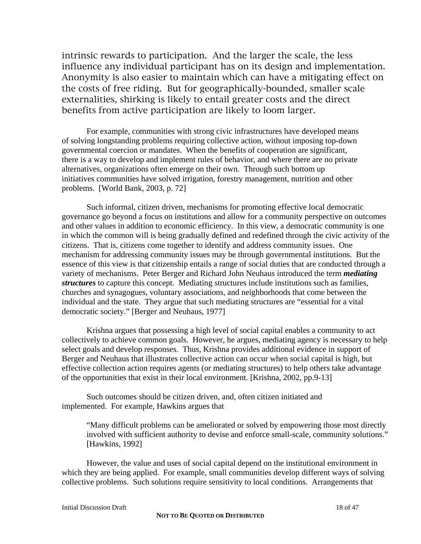intrinsic rewards to participation. And the larger the scale, the less influence any individual participant has on its design and implementation. Anonymity is also easier to maintain which can have a mitigating effect on the costs of free riding. But for geographically-bounded, smaller scale externalities, shirking is likely to entail greater costs and the direct benefits from active participation are likely to loom larger.

For example, communities with strong civic infrastructures have developed means of solving longstanding problems requiring collective action, without imposing top-down governmental coercion or mandates. When the benefits of cooperation are significant, there is a way to develop and implement rules of behavior, and where there are no private alternatives, organizations often emerge on their own. Through such bottom up initiatives communities have solved irrigation, forestry management, nutrition and other problems. [World Bank, 2003, p. 72]

Such informal, citizen driven, mechanisms for promoting effective local democratic governance go beyond a focus on institutions and allow for a community perspective on outcomes and other values in addition to economic efficiency. In this view, a democratic community is one in which the common will is being gradually defined and redefined through the civic activity of the citizens. That is, citizens come together to identify and address community issues. One mechanism for addressing community issues may be through governmental institutions. But the essence of this view is that citizenship entails a range of social duties that are conducted through a variety of mechanisms. Peter Berger and Richard John Neuhaus introduced the term *mediating structures* to capture this concept. Mediating structures include institutions such as families, churches and synagogues, voluntary associations, and neighborhoods that come between the individual and the state. They argue that such mediating structures are "essential for a vital democratic society." [Berger and Neuhaus, 1977]

Krishna argues that possessing a high level of social capital enables a community to act collectively to achieve common goals. However, he argues, mediating agency is necessary to help select goals and develop responses. Thus, Krishna provides additional evidence in support of Berger and Neuhaus that illustrates collective action can occur when social capital is high, but effective collection action requires agents (or mediating structures) to help others take advantage of the opportunities that exist in their local environment. [Krishna, 2002, pp.9-13]

Such outcomes should be citizen driven, and, often citizen initiated and implemented. For example, Hawkins argues that

"Many difficult problems can be ameliorated or solved by empowering those most directly involved with sufficient authority to devise and enforce small-scale, community solutions." [Hawkins, 1992]

 However, the value and uses of social capital depend on the institutional environment in which they are being applied. For example, small communities develop different ways of solving collective problems. Such solutions require sensitivity to local conditions. Arrangements that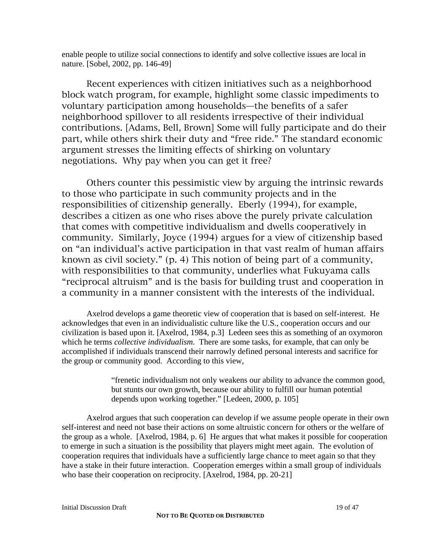enable people to utilize social connections to identify and solve collective issues are local in nature. [Sobel, 2002, pp. 146-49]

Recent experiences with citizen initiatives such as a neighborhood block watch program, for example, highlight some classic impediments to voluntary participation among households—the benefits of a safer neighborhood spillover to all residents irrespective of their individual contributions. [Adams, Bell, Brown] Some will fully participate and do their part, while others shirk their duty and "free ride." The standard economic argument stresses the limiting effects of shirking on voluntary negotiations. Why pay when you can get it free?

Others counter this pessimistic view by arguing the intrinsic rewards to those who participate in such community projects and in the responsibilities of citizenship generally. Eberly (1994), for example, describes a citizen as one who rises above the purely private calculation that comes with competitive individualism and dwells cooperatively in community. Similarly, Joyce (1994) argues for a view of citizenship based on "an individual's active participation in that vast realm of human affairs known as civil society." (p. 4) This notion of being part of a community, with responsibilities to that community, underlies what Fukuyama calls "reciprocal altruism" and is the basis for building trust and cooperation in a community in a manner consistent with the interests of the individual.

Axelrod develops a game theoretic view of cooperation that is based on self-interest. He acknowledges that even in an individualistic culture like the U.S., cooperation occurs and our civilization is based upon it. [Axelrod, 1984, p.3] Ledeen sees this as something of an oxymoron which he terms *collective individualism*. There are some tasks, for example, that can only be accomplished if individuals transcend their narrowly defined personal interests and sacrifice for the group or community good. According to this view,

> "frenetic individualism not only weakens our ability to advance the common good, but stunts our own growth, because our ability to fulfill our human potential depends upon working together." [Ledeen, 2000, p. 105]

Axelrod argues that such cooperation can develop if we assume people operate in their own self-interest and need not base their actions on some altruistic concern for others or the welfare of the group as a whole. [Axelrod, 1984, p. 6] He argues that what makes it possible for cooperation to emerge in such a situation is the possibility that players might meet again. The evolution of cooperation requires that individuals have a sufficiently large chance to meet again so that they have a stake in their future interaction. Cooperation emerges within a small group of individuals who base their cooperation on reciprocity. [Axelrod, 1984, pp. 20-21]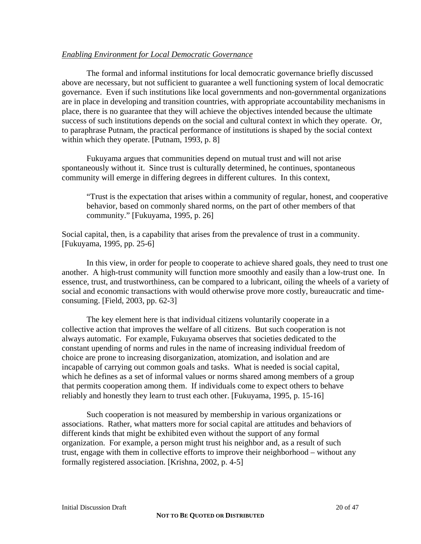## *Enabling Environment for Local Democratic Governance*

The formal and informal institutions for local democratic governance briefly discussed above are necessary, but not sufficient to guarantee a well functioning system of local democratic governance. Even if such institutions like local governments and non-governmental organizations are in place in developing and transition countries, with appropriate accountability mechanisms in place, there is no guarantee that they will achieve the objectives intended because the ultimate success of such institutions depends on the social and cultural context in which they operate. Or, to paraphrase Putnam, the practical performance of institutions is shaped by the social context within which they operate. [Putnam, 1993, p. 8]

Fukuyama argues that communities depend on mutual trust and will not arise spontaneously without it. Since trust is culturally determined, he continues, spontaneous community will emerge in differing degrees in different cultures. In this context,

 "Trust is the expectation that arises within a community of regular, honest, and cooperative behavior, based on commonly shared norms, on the part of other members of that community." [Fukuyama, 1995, p. 26]

Social capital, then, is a capability that arises from the prevalence of trust in a community. [Fukuyama, 1995, pp. 25-6]

 In this view, in order for people to cooperate to achieve shared goals, they need to trust one another. A high-trust community will function more smoothly and easily than a low-trust one. In essence, trust, and trustworthiness, can be compared to a lubricant, oiling the wheels of a variety of social and economic transactions with would otherwise prove more costly, bureaucratic and timeconsuming. [Field, 2003, pp. 62-3]

The key element here is that individual citizens voluntarily cooperate in a collective action that improves the welfare of all citizens. But such cooperation is not always automatic. For example, Fukuyama observes that societies dedicated to the constant upending of norms and rules in the name of increasing individual freedom of choice are prone to increasing disorganization, atomization, and isolation and are incapable of carrying out common goals and tasks. What is needed is social capital, which he defines as a set of informal values or norms shared among members of a group that permits cooperation among them. If individuals come to expect others to behave reliably and honestly they learn to trust each other. [Fukuyama, 1995, p. 15-16]

Such cooperation is not measured by membership in various organizations or associations. Rather, what matters more for social capital are attitudes and behaviors of different kinds that might be exhibited even without the support of any formal organization. For example, a person might trust his neighbor and, as a result of such trust, engage with them in collective efforts to improve their neighborhood – without any formally registered association. [Krishna, 2002, p. 4-5]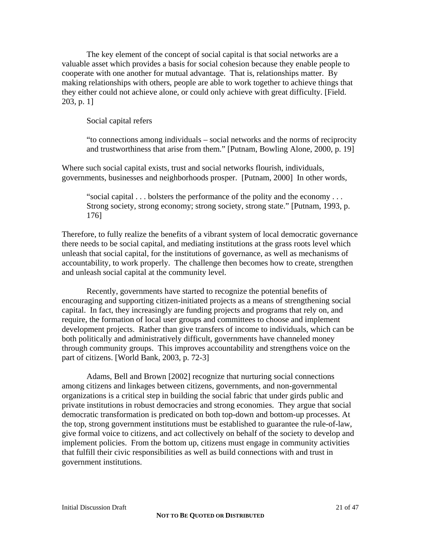The key element of the concept of social capital is that social networks are a valuable asset which provides a basis for social cohesion because they enable people to cooperate with one another for mutual advantage. That is, relationships matter. By making relationships with others, people are able to work together to achieve things that they either could not achieve alone, or could only achieve with great difficulty. [Field. 203, p. 1]

Social capital refers

"to connections among individuals – social networks and the norms of reciprocity and trustworthiness that arise from them." [Putnam, Bowling Alone, 2000, p. 19]

Where such social capital exists, trust and social networks flourish, individuals, governments, businesses and neighborhoods prosper. [Putnam, 2000] In other words,

 "social capital . . . bolsters the performance of the polity and the economy . . . Strong society, strong economy; strong society, strong state." [Putnam, 1993, p. 176]

Therefore, to fully realize the benefits of a vibrant system of local democratic governance there needs to be social capital, and mediating institutions at the grass roots level which unleash that social capital, for the institutions of governance, as well as mechanisms of accountability, to work properly. The challenge then becomes how to create, strengthen and unleash social capital at the community level.

Recently, governments have started to recognize the potential benefits of encouraging and supporting citizen-initiated projects as a means of strengthening social capital. In fact, they increasingly are funding projects and programs that rely on, and require, the formation of local user groups and committees to choose and implement development projects. Rather than give transfers of income to individuals, which can be both politically and administratively difficult, governments have channeled money through community groups. This improves accountability and strengthens voice on the part of citizens. [World Bank, 2003, p. 72-3]

Adams, Bell and Brown [2002] recognize that nurturing social connections among citizens and linkages between citizens, governments, and non-governmental organizations is a critical step in building the social fabric that under girds public and private institutions in robust democracies and strong economies. They argue that social democratic transformation is predicated on both top-down and bottom-up processes. At the top, strong government institutions must be established to guarantee the rule-of-law, give formal voice to citizens, and act collectively on behalf of the society to develop and implement policies. From the bottom up, citizens must engage in community activities that fulfill their civic responsibilities as well as build connections with and trust in government institutions.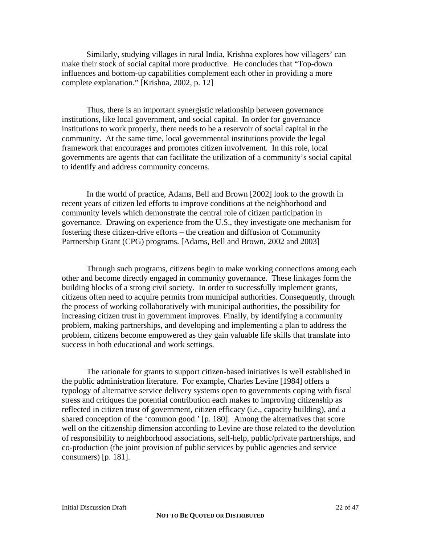Similarly, studying villages in rural India, Krishna explores how villagers' can make their stock of social capital more productive. He concludes that "Top-down influences and bottom-up capabilities complement each other in providing a more complete explanation." [Krishna, 2002, p. 12]

Thus, there is an important synergistic relationship between governance institutions, like local government, and social capital. In order for governance institutions to work properly, there needs to be a reservoir of social capital in the community. At the same time, local governmental institutions provide the legal framework that encourages and promotes citizen involvement. In this role, local governments are agents that can facilitate the utilization of a community's social capital to identify and address community concerns.

In the world of practice, Adams, Bell and Brown [2002] look to the growth in recent years of citizen led efforts to improve conditions at the neighborhood and community levels which demonstrate the central role of citizen participation in governance. Drawing on experience from the U.S., they investigate one mechanism for fostering these citizen-drive efforts – the creation and diffusion of Community Partnership Grant (CPG) programs. [Adams, Bell and Brown, 2002 and 2003]

Through such programs, citizens begin to make working connections among each other and become directly engaged in community governance. These linkages form the building blocks of a strong civil society. In order to successfully implement grants, citizens often need to acquire permits from municipal authorities. Consequently, through the process of working collaboratively with municipal authorities, the possibility for increasing citizen trust in government improves. Finally, by identifying a community problem, making partnerships, and developing and implementing a plan to address the problem, citizens become empowered as they gain valuable life skills that translate into success in both educational and work settings.

The rationale for grants to support citizen-based initiatives is well established in the public administration literature. For example, Charles Levine [1984] offers a typology of alternative service delivery systems open to governments coping with fiscal stress and critiques the potential contribution each makes to improving citizenship as reflected in citizen trust of government, citizen efficacy (i.e., capacity building), and a shared conception of the 'common good.' [p. 180]. Among the alternatives that score well on the citizenship dimension according to Levine are those related to the devolution of responsibility to neighborhood associations, self-help, public/private partnerships, and co-production (the joint provision of public services by public agencies and service consumers) [p. 181].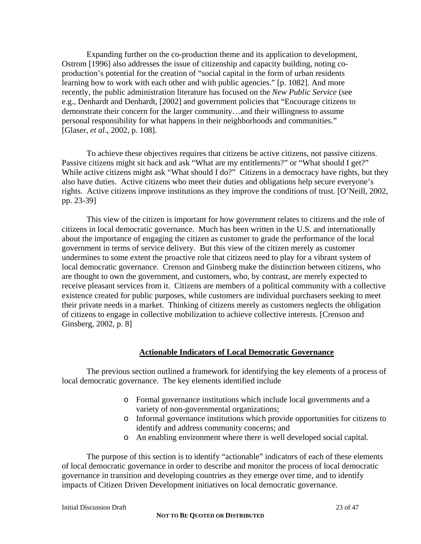Expanding further on the co-production theme and its application to development, Ostrom [1996] also addresses the issue of citizenship and capacity building, noting coproduction's potential for the creation of "social capital in the form of urban residents learning how to work with each other and with public agencies." [p. 1082]. And more recently, the public administration literature has focused on the *New Public Service* (see e.g., Denhardt and Denhardt, [2002] and government policies that "Encourage citizens to demonstrate their concern for the larger community…and their willingness to assume personal responsibility for what happens in their neighborhoods and communities." [Glaser, *et al*., 2002, p. 108].

To achieve these objectives requires that citizens be active citizens, not passive citizens. Passive citizens might sit back and ask "What are my entitlements?" or "What should I get?" While active citizens might ask "What should I do?" Citizens in a democracy have rights, but they also have duties. Active citizens who meet their duties and obligations help secure everyone's rights. Active citizens improve institutions as they improve the conditions of trust. [O'Neill, 2002, pp. 23-39]

This view of the citizen is important for how government relates to citizens and the role of citizens in local democratic governance. Much has been written in the U.S. and internationally about the importance of engaging the citizen as customer to grade the performance of the local government in terms of service delivery. But this view of the citizen merely as customer undermines to some extent the proactive role that citizens need to play for a vibrant system of local democratic governance. Crenson and Ginsberg make the distinction between citizens, who are thought to own the government, and customers, who, by contrast, are merely expected to receive pleasant services from it. Citizens are members of a political community with a collective existence created for public purposes, while customers are individual purchasers seeking to meet their private needs in a market. Thinking of citizens merely as customers neglects the obligation of citizens to engage in collective mobilization to achieve collective interests. [Crenson and Ginsberg, 2002, p. 8]

#### **Actionable Indicators of Local Democratic Governance**

The previous section outlined a framework for identifying the key elements of a process of local democratic governance. The key elements identified include

- o Formal governance institutions which include local governments and a variety of non-governmental organizations;
- o Informal governance institutions which provide opportunities for citizens to identify and address community concerns; and
- o An enabling environment where there is well developed social capital.

The purpose of this section is to identify "actionable" indicators of each of these elements of local democratic governance in order to describe and monitor the process of local democratic governance in transition and developing countries as they emerge over time, and to identify impacts of Citizen Driven Development initiatives on local democratic governance.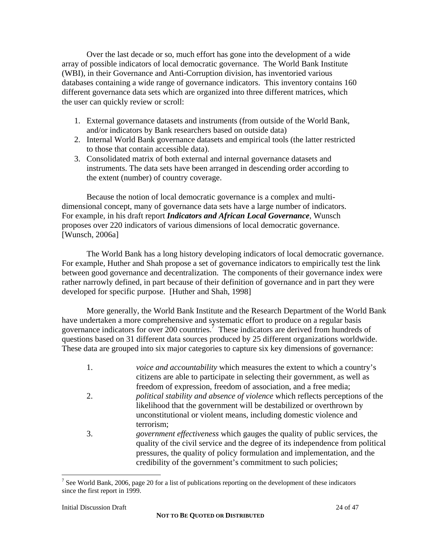Over the last decade or so, much effort has gone into the development of a wide array of possible indicators of local democratic governance. The World Bank Institute (WBI), in their Governance and Anti-Corruption division, has inventoried various databases containing a wide range of governance indicators. This inventory contains 160 different governance data sets which are organized into three different matrices, which the user can quickly review or scroll:

- 1. External governance datasets and instruments (from outside of the World Bank, and/or indicators by Bank researchers based on outside data)
- 2. Internal World Bank governance datasets and empirical tools (the latter restricted to those that contain accessible data).
- 3. Consolidated matrix of both external and internal governance datasets and instruments. The data sets have been arranged in descending order according to the extent (number) of country coverage.

Because the notion of local democratic governance is a complex and multidimensional concept, many of governance data sets have a large number of indicators. For example, in his draft report *Indicators and African Local Governance*, Wunsch proposes over 220 indicators of various dimensions of local democratic governance. [Wunsch, 2006a]

The World Bank has a long history developing indicators of local democratic governance. For example, Huther and Shah propose a set of governance indicators to empirically test the link between good governance and decentralization. The components of their governance index were rather narrowly defined, in part because of their definition of governance and in part they were developed for specific purpose. [Huther and Shah, 1998]

More generally, the World Bank Institute and the Research Department of the World Bank have undertaken a more comprehensive and systematic effort to produce on a regular basis governance indicators for over 200 countries.<sup>7</sup> These indicators are derived from hundreds of questions based on 31 different data sources produced by 25 different organizations worldwide. These data are grouped into six major categories to capture six key dimensions of governance:

1. *voice and accountability* which measures the extent to which a country's citizens are able to participate in selecting their government, as well as freedom of expression, freedom of association, and a free media; 2. *political stability and absence of violence* which reflects perceptions of the likelihood that the government will be destabilized or overthrown by unconstitutional or violent means, including domestic violence and terrorism; 3. *government effectiveness* which gauges the quality of public services, the quality of the civil service and the degree of its independence from political pressures, the quality of policy formulation and implementation, and the credibility of the government's commitment to such policies;

 $\overline{a}$ 

<sup>&</sup>lt;sup>7</sup> See World Bank, 2006, page 20 for a list of publications reporting on the development of these indicators since the first report in 1999.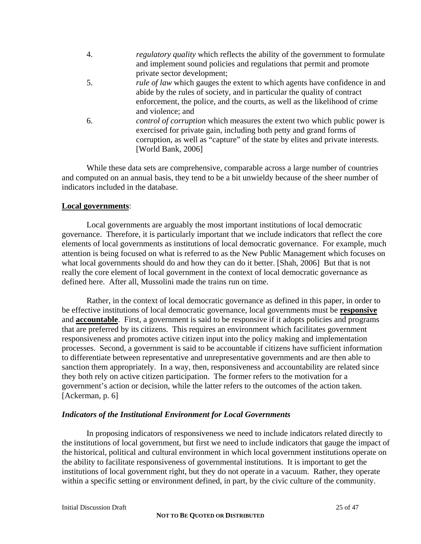| $\overline{4}$ . | <i>regulatory quality</i> which reflects the ability of the government to formulate |
|------------------|-------------------------------------------------------------------------------------|
|                  | and implement sound policies and regulations that permit and promote                |
|                  | private sector development;                                                         |
| 5.               | <i>rule of law</i> which gauges the extent to which agents have confidence in and   |
|                  | abide by the rules of society, and in particular the quality of contract            |
|                  | enforcement, the police, and the courts, as well as the likelihood of crime         |
|                  | and violence; and                                                                   |
| 6.               | <i>control of corruption</i> which measures the extent two which public power is    |
|                  | exercised for private gain, including both petty and grand forms of                 |
|                  | corruption, as well as "capture" of the state by elites and private interests.      |
|                  | [World Bank, 2006]                                                                  |
|                  |                                                                                     |

While these data sets are comprehensive, comparable across a large number of countries and computed on an annual basis, they tend to be a bit unwieldy because of the sheer number of indicators included in the database.

#### **Local governments**:

Local governments are arguably the most important institutions of local democratic governance. Therefore, it is particularly important that we include indicators that reflect the core elements of local governments as institutions of local democratic governance. For example, much attention is being focused on what is referred to as the New Public Management which focuses on what local governments should do and how they can do it better. [Shah, 2006] But that is not really the core element of local government in the context of local democratic governance as defined here. After all, Mussolini made the trains run on time.

Rather, in the context of local democratic governance as defined in this paper, in order to be effective institutions of local democratic governance, local governments must be **responsive**  and **accountable**. First, a government is said to be responsive if it adopts policies and programs that are preferred by its citizens. This requires an environment which facilitates government responsiveness and promotes active citizen input into the policy making and implementation processes. Second, a government is said to be accountable if citizens have sufficient information to differentiate between representative and unrepresentative governments and are then able to sanction them appropriately. In a way, then, responsiveness and accountability are related since they both rely on active citizen participation. The former refers to the motivation for a government's action or decision, while the latter refers to the outcomes of the action taken. [Ackerman, p. 6]

#### *Indicators of the Institutional Environment for Local Governments*

In proposing indicators of responsiveness we need to include indicators related directly to the institutions of local government, but first we need to include indicators that gauge the impact of the historical, political and cultural environment in which local government institutions operate on the ability to facilitate responsiveness of governmental institutions. It is important to get the institutions of local government right, but they do not operate in a vacuum. Rather, they operate within a specific setting or environment defined, in part, by the civic culture of the community.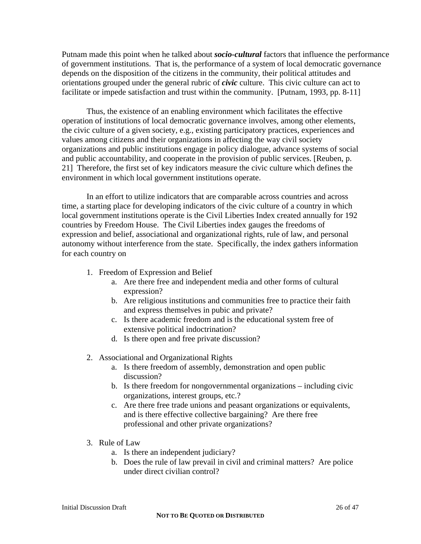Putnam made this point when he talked about *socio-cultural* factors that influence the performance of government institutions. That is, the performance of a system of local democratic governance depends on the disposition of the citizens in the community, their political attitudes and orientations grouped under the general rubric of *civic* culture. This civic culture can act to facilitate or impede satisfaction and trust within the community. [Putnam, 1993, pp. 8-11]

Thus, the existence of an enabling environment which facilitates the effective operation of institutions of local democratic governance involves, among other elements, the civic culture of a given society, e.g., existing participatory practices, experiences and values among citizens and their organizations in affecting the way civil society organizations and public institutions engage in policy dialogue, advance systems of social and public accountability, and cooperate in the provision of public services. [Reuben, p. 21] Therefore, the first set of key indicators measure the civic culture which defines the environment in which local government institutions operate.

In an effort to utilize indicators that are comparable across countries and across time, a starting place for developing indicators of the civic culture of a country in which local government institutions operate is the Civil Liberties Index created annually for 192 countries by Freedom House. The Civil Liberties index gauges the freedoms of expression and belief, associational and organizational rights, rule of law, and personal autonomy without interference from the state. Specifically, the index gathers information for each country on

- 1. Freedom of Expression and Belief
	- a. Are there free and independent media and other forms of cultural expression?
	- b. Are religious institutions and communities free to practice their faith and express themselves in pubic and private?
	- c. Is there academic freedom and is the educational system free of extensive political indoctrination?
	- d. Is there open and free private discussion?
- 2. Associational and Organizational Rights
	- a. Is there freedom of assembly, demonstration and open public discussion?
	- b. Is there freedom for nongovernmental organizations including civic organizations, interest groups, etc.?
	- c. Are there free trade unions and peasant organizations or equivalents, and is there effective collective bargaining? Are there free professional and other private organizations?
- 3. Rule of Law
	- a. Is there an independent judiciary?
	- b. Does the rule of law prevail in civil and criminal matters? Are police under direct civilian control?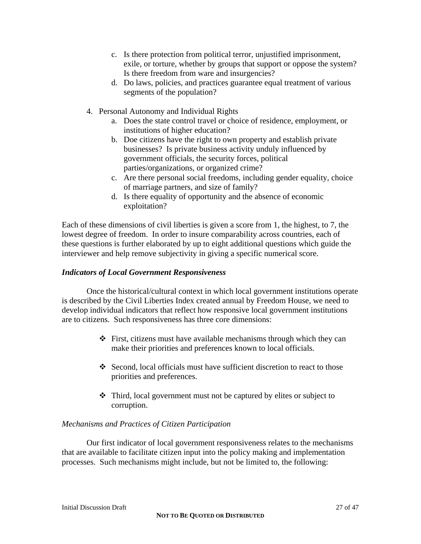- c. Is there protection from political terror, unjustified imprisonment, exile, or torture, whether by groups that support or oppose the system? Is there freedom from ware and insurgencies?
- d. Do laws, policies, and practices guarantee equal treatment of various segments of the population?
- 4. Personal Autonomy and Individual Rights
	- a. Does the state control travel or choice of residence, employment, or institutions of higher education?
	- b. Doe citizens have the right to own property and establish private businesses? Is private business activity unduly influenced by government officials, the security forces, political parties/organizations, or organized crime?
	- c. Are there personal social freedoms, including gender equality, choice of marriage partners, and size of family?
	- d. Is there equality of opportunity and the absence of economic exploitation?

Each of these dimensions of civil liberties is given a score from 1, the highest, to 7, the lowest degree of freedom. In order to insure comparability across countries, each of these questions is further elaborated by up to eight additional questions which guide the interviewer and help remove subjectivity in giving a specific numerical score.

## *Indicators of Local Government Responsiveness*

 Once the historical/cultural context in which local government institutions operate is described by the Civil Liberties Index created annual by Freedom House, we need to develop individual indicators that reflect how responsive local government institutions are to citizens. Such responsiveness has three core dimensions:

- $\div$  First, citizens must have available mechanisms through which they can make their priorities and preferences known to local officials.
- Second, local officials must have sufficient discretion to react to those priorities and preferences.
- Third, local government must not be captured by elites or subject to corruption.

## *Mechanisms and Practices of Citizen Participation*

 Our first indicator of local government responsiveness relates to the mechanisms that are available to facilitate citizen input into the policy making and implementation processes. Such mechanisms might include, but not be limited to, the following: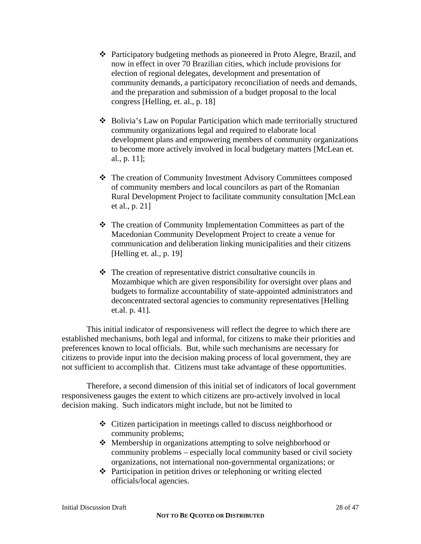- Participatory budgeting methods as pioneered in Proto Alegre, Brazil, and now in effect in over 70 Brazilian cities, which include provisions for election of regional delegates, development and presentation of community demands, a participatory reconciliation of needs and demands, and the preparation and submission of a budget proposal to the local congress [Helling, et. al., p. 18]
- Bolivia's Law on Popular Participation which made territorially structured community organizations legal and required to elaborate local development plans and empowering members of community organizations to become more actively involved in local budgetary matters [McLean et. al., p. 11];
- The creation of Community Investment Advisory Committees composed of community members and local councilors as part of the Romanian Rural Development Project to facilitate community consultation [McLean et al., p. 21]
- The creation of Community Implementation Committees as part of the Macedonian Community Development Project to create a venue for communication and deliberation linking municipalities and their citizens [Helling et. al., p. 19]
- $\triangle$  The creation of representative district consultative councils in Mozambique which are given responsibility for oversight over plans and budgets to formalize accountability of state-appointed administrators and deconcentrated sectoral agencies to community representatives [Helling et.al. p. 41].

This initial indicator of responsiveness will reflect the degree to which there are established mechanisms, both legal and informal, for citizens to make their priorities and preferences known to local officials. But, while such mechanisms are necessary for citizens to provide input into the decision making process of local government, they are not sufficient to accomplish that. Citizens must take advantage of these opportunities.

Therefore, a second dimension of this initial set of indicators of local government responsiveness gauges the extent to which citizens are pro-actively involved in local decision making. Such indicators might include, but not be limited to

- Citizen participation in meetings called to discuss neighborhood or community problems;
- Membership in organizations attempting to solve neighborhood or community problems – especially local community based or civil society organizations, not international non-governmental organizations; or
- Participation in petition drives or telephoning or writing elected officials/local agencies.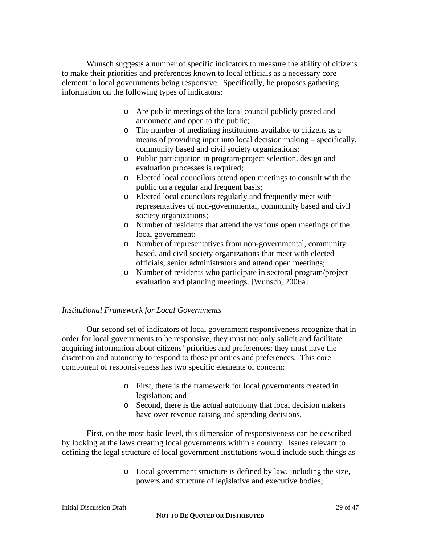Wunsch suggests a number of specific indicators to measure the ability of citizens to make their priorities and preferences known to local officials as a necessary core element in local governments being responsive. Specifically, he proposes gathering information on the following types of indicators:

- o Are public meetings of the local council publicly posted and announced and open to the public;
- o The number of mediating institutions available to citizens as a means of providing input into local decision making – specifically, community based and civil society organizations;
- o Public participation in program/project selection, design and evaluation processes is required;
- o Elected local councilors attend open meetings to consult with the public on a regular and frequent basis;
- o Elected local councilors regularly and frequently meet with representatives of non-governmental, community based and civil society organizations;
- o Number of residents that attend the various open meetings of the local government;
- o Number of representatives from non-governmental, community based, and civil society organizations that meet with elected officials, senior administrators and attend open meetings;
- o Number of residents who participate in sectoral program/project evaluation and planning meetings. [Wunsch, 2006a]

## *Institutional Framework for Local Governments*

Our second set of indicators of local government responsiveness recognize that in order for local governments to be responsive, they must not only solicit and facilitate acquiring information about citizens' priorities and preferences; they must have the discretion and autonomy to respond to those priorities and preferences. This core component of responsiveness has two specific elements of concern:

- o First, there is the framework for local governments created in legislation; and
- o Second, there is the actual autonomy that local decision makers have over revenue raising and spending decisions.

First, on the most basic level, this dimension of responsiveness can be described by looking at the laws creating local governments within a country. Issues relevant to defining the legal structure of local government institutions would include such things as

> o Local government structure is defined by law, including the size, powers and structure of legislative and executive bodies;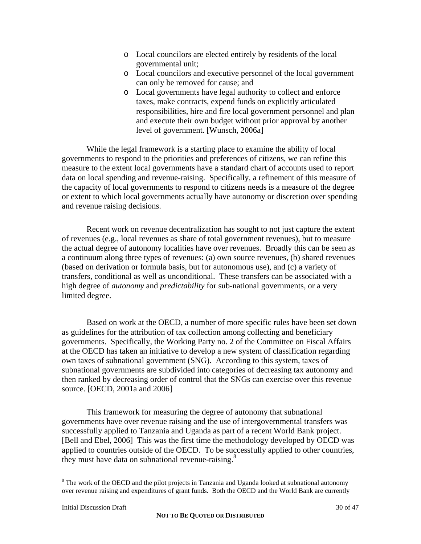- o Local councilors are elected entirely by residents of the local governmental unit;
- o Local councilors and executive personnel of the local government can only be removed for cause; and
- o Local governments have legal authority to collect and enforce taxes, make contracts, expend funds on explicitly articulated responsibilities, hire and fire local government personnel and plan and execute their own budget without prior approval by another level of government. [Wunsch, 2006a]

While the legal framework is a starting place to examine the ability of local governments to respond to the priorities and preferences of citizens, we can refine this measure to the extent local governments have a standard chart of accounts used to report data on local spending and revenue-raising. Specifically, a refinement of this measure of the capacity of local governments to respond to citizens needs is a measure of the degree or extent to which local governments actually have autonomy or discretion over spending and revenue raising decisions.

Recent work on revenue decentralization has sought to not just capture the extent of revenues (e.g., local revenues as share of total government revenues), but to measure the actual degree of autonomy localities have over revenues. Broadly this can be seen as a continuum along three types of revenues: (a) own source revenues, (b) shared revenues (based on derivation or formula basis, but for autonomous use), and (c) a variety of transfers, conditional as well as unconditional. These transfers can be associated with a high degree of *autonomy* and *predictability* for sub-national governments, or a very limited degree.

Based on work at the OECD, a number of more specific rules have been set down as guidelines for the attribution of tax collection among collecting and beneficiary governments. Specifically, the Working Party no. 2 of the Committee on Fiscal Affairs at the OECD has taken an initiative to develop a new system of classification regarding own taxes of subnational government (SNG). According to this system, taxes of subnational governments are subdivided into categories of decreasing tax autonomy and then ranked by decreasing order of control that the SNGs can exercise over this revenue source. [OECD, 2001a and 2006]

This framework for measuring the degree of autonomy that subnational governments have over revenue raising and the use of intergovernmental transfers was successfully applied to Tanzania and Uganda as part of a recent World Bank project. [Bell and Ebel, 2006] This was the first time the methodology developed by OECD was applied to countries outside of the OECD. To be successfully applied to other countries, they must have data on subnational revenue-raising.<sup>8</sup>

 $\overline{a}$ 

 $8$  The work of the OECD and the pilot projects in Tanzania and Uganda looked at subnational autonomy over revenue raising and expenditures of grant funds. Both the OECD and the World Bank are currently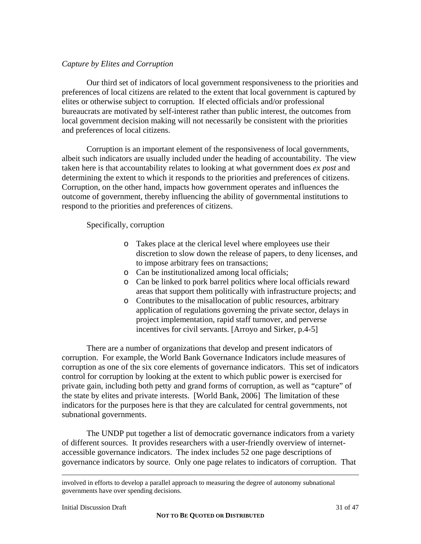## *Capture by Elites and Corruption*

Our third set of indicators of local government responsiveness to the priorities and preferences of local citizens are related to the extent that local government is captured by elites or otherwise subject to corruption. If elected officials and/or professional bureaucrats are motivated by self-interest rather than public interest, the outcomes from local government decision making will not necessarily be consistent with the priorities and preferences of local citizens.

Corruption is an important element of the responsiveness of local governments, albeit such indicators are usually included under the heading of accountability. The view taken here is that accountability relates to looking at what government does *ex post* and determining the extent to which it responds to the priorities and preferences of citizens. Corruption, on the other hand, impacts how government operates and influences the outcome of government, thereby influencing the ability of governmental institutions to respond to the priorities and preferences of citizens.

Specifically, corruption

- o Takes place at the clerical level where employees use their discretion to slow down the release of papers, to deny licenses, and to impose arbitrary fees on transactions;
- o Can be institutionalized among local officials;
- o Can be linked to pork barrel politics where local officials reward areas that support them politically with infrastructure projects; and
- o Contributes to the misallocation of public resources, arbitrary application of regulations governing the private sector, delays in project implementation, rapid staff turnover, and perverse incentives for civil servants. [Arroyo and Sirker, p.4-5]

There are a number of organizations that develop and present indicators of corruption. For example, the World Bank Governance Indicators include measures of corruption as one of the six core elements of governance indicators. This set of indicators control for corruption by looking at the extent to which public power is exercised for private gain, including both petty and grand forms of corruption, as well as "capture" of the state by elites and private interests. [World Bank, 2006] The limitation of these indicators for the purposes here is that they are calculated for central governments, not subnational governments.

The UNDP put together a list of democratic governance indicators from a variety of different sources. It provides researchers with a user-friendly overview of internetaccessible governance indicators. The index includes 52 one page descriptions of governance indicators by source. Only one page relates to indicators of corruption. That

involved in efforts to develop a parallel approach to measuring the degree of autonomy subnational governments have over spending decisions.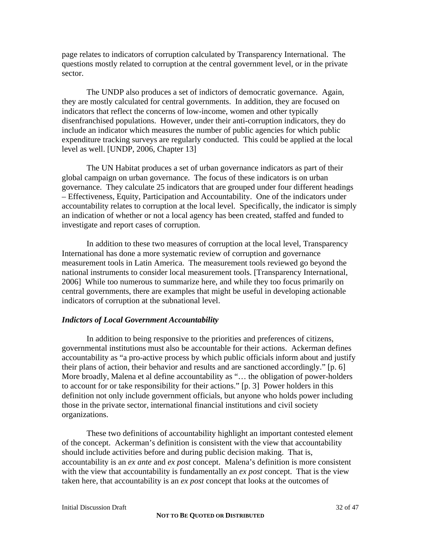page relates to indicators of corruption calculated by Transparency International. The questions mostly related to corruption at the central government level, or in the private sector.

The UNDP also produces a set of indictors of democratic governance. Again, they are mostly calculated for central governments. In addition, they are focused on indicators that reflect the concerns of low-income, women and other typically disenfranchised populations. However, under their anti-corruption indicators, they do include an indicator which measures the number of public agencies for which public expenditure tracking surveys are regularly conducted. This could be applied at the local level as well. [UNDP, 2006, Chapter 13]

The UN Habitat produces a set of urban governance indicators as part of their global campaign on urban governance. The focus of these indicators is on urban governance. They calculate 25 indicators that are grouped under four different headings – Effectiveness, Equity, Participation and Accountability. One of the indicators under accountability relates to corruption at the local level. Specifically, the indicator is simply an indication of whether or not a local agency has been created, staffed and funded to investigate and report cases of corruption.

In addition to these two measures of corruption at the local level, Transparency International has done a more systematic review of corruption and governance measurement tools in Latin America. The measurement tools reviewed go beyond the national instruments to consider local measurement tools. [Transparency International, 2006] While too numerous to summarize here, and while they too focus primarily on central governments, there are examples that might be useful in developing actionable indicators of corruption at the subnational level.

## *Indictors of Local Government Accountability*

 In addition to being responsive to the priorities and preferences of citizens, governmental institutions must also be accountable for their actions. Ackerman defines accountability as "a pro-active process by which public officials inform about and justify their plans of action, their behavior and results and are sanctioned accordingly." [p. 6] More broadly, Malena et al define accountability as "… the obligation of power-holders to account for or take responsibility for their actions." [p. 3] Power holders in this definition not only include government officials, but anyone who holds power including those in the private sector, international financial institutions and civil society organizations.

 These two definitions of accountability highlight an important contested element of the concept. Ackerman's definition is consistent with the view that accountability should include activities before and during public decision making. That is, accountability is an *ex ante* and *ex post* concept. Malena's definition is more consistent with the view that accountability is fundamentally an *ex post* concept. That is the view taken here, that accountability is an *ex post* concept that looks at the outcomes of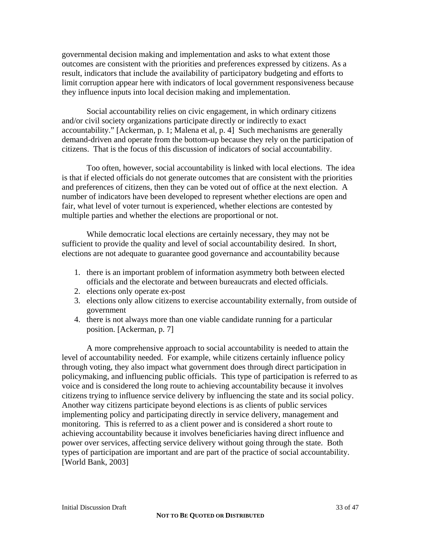governmental decision making and implementation and asks to what extent those outcomes are consistent with the priorities and preferences expressed by citizens. As a result, indicators that include the availability of participatory budgeting and efforts to limit corruption appear here with indicators of local government responsiveness because they influence inputs into local decision making and implementation.

Social accountability relies on civic engagement, in which ordinary citizens and/or civil society organizations participate directly or indirectly to exact accountability." [Ackerman, p. 1; Malena et al, p. 4] Such mechanisms are generally demand-driven and operate from the bottom-up because they rely on the participation of citizens. That is the focus of this discussion of indicators of social accountability.

Too often, however, social accountability is linked with local elections. The idea is that if elected officials do not generate outcomes that are consistent with the priorities and preferences of citizens, then they can be voted out of office at the next election. A number of indicators have been developed to represent whether elections are open and fair, what level of voter turnout is experienced, whether elections are contested by multiple parties and whether the elections are proportional or not.

While democratic local elections are certainly necessary, they may not be sufficient to provide the quality and level of social accountability desired. In short, elections are not adequate to guarantee good governance and accountability because

- 1. there is an important problem of information asymmetry both between elected officials and the electorate and between bureaucrats and elected officials.
- 2. elections only operate ex-post
- 3. elections only allow citizens to exercise accountability externally, from outside of government
- 4. there is not always more than one viable candidate running for a particular position. [Ackerman, p. 7]

A more comprehensive approach to social accountability is needed to attain the level of accountability needed. For example, while citizens certainly influence policy through voting, they also impact what government does through direct participation in policymaking, and influencing public officials. This type of participation is referred to as voice and is considered the long route to achieving accountability because it involves citizens trying to influence service delivery by influencing the state and its social policy. Another way citizens participate beyond elections is as clients of public services implementing policy and participating directly in service delivery, management and monitoring. This is referred to as a client power and is considered a short route to achieving accountability because it involves beneficiaries having direct influence and power over services, affecting service delivery without going through the state. Both types of participation are important and are part of the practice of social accountability. [World Bank, 2003]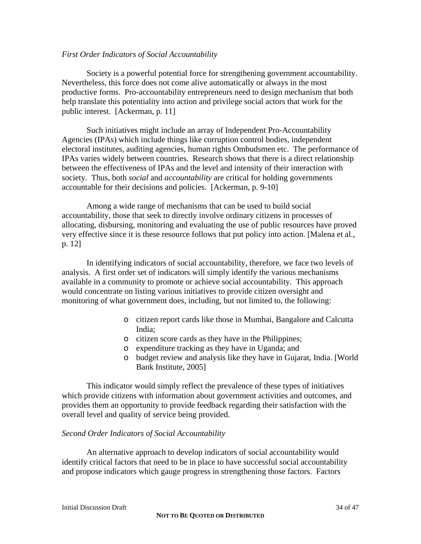#### *First Order Indicators of Social Accountability*

Society is a powerful potential force for strengthening government accountability. Nevertheless, this force does not come alive automatically or always in the most productive forms. Pro-accountability entrepreneurs need to design mechanism that both help translate this potentiality into action and privilege social actors that work for the public interest. [Ackerman, p. 11]

Such initiatives might include an array of Independent Pro-Accountability Agencies (IPAs) which include things like corruption control bodies, independent electoral institutes, auditing agencies, human rights Ombudsmen etc. The performance of IPAs varies widely between countries. Research shows that there is a direct relationship between the effectiveness of IPAs and the level and intensity of their interaction with society. Thus, both *social* and *accountability* are critical for holding governments accountable for their decisions and policies. [Ackerman, p. 9-10]

Among a wide range of mechanisms that can be used to build social accountability, those that seek to directly involve ordinary citizens in processes of allocating, disbursing, monitoring and evaluating the use of public resources have proved very effective since it is these resource follows that put policy into action. [Malena et al., p. 12]

In identifying indicators of social accountability, therefore, we face two levels of analysis. A first order set of indicators will simply identify the various mechanisms available in a community to promote or achieve social accountability. This approach would concentrate on listing various initiatives to provide citizen oversight and monitoring of what government does, including, but not limited to, the following:

- o citizen report cards like those in Mumbai, Bangalore and Calcutta India;
- o citizen score cards as they have in the Philippines;
- o expenditure tracking as they have in Uganda; and
- o budget review and analysis like they have in Gujarat, India. [World Bank Institute, 2005]

This indicator would simply reflect the prevalence of these types of initiatives which provide citizens with information about government activities and outcomes, and provides them an opportunity to provide feedback regarding their satisfaction with the overall level and quality of service being provided.

#### *Second Order Indicators of Social Accountability*

An alternative approach to develop indicators of social accountability would identify critical factors that need to be in place to have successful social accountability and propose indicators which gauge progress in strengthening those factors. Factors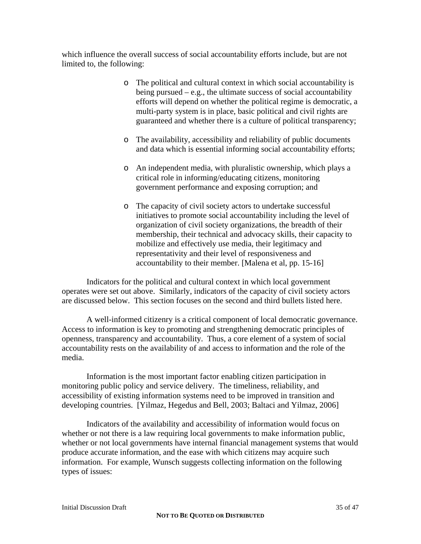which influence the overall success of social accountability efforts include, but are not limited to, the following:

- o The political and cultural context in which social accountability is being pursued – e.g., the ultimate success of social accountability efforts will depend on whether the political regime is democratic, a multi-party system is in place, basic political and civil rights are guaranteed and whether there is a culture of political transparency;
- o The availability, accessibility and reliability of public documents and data which is essential informing social accountability efforts;
- o An independent media, with pluralistic ownership, which plays a critical role in informing/educating citizens, monitoring government performance and exposing corruption; and
- o The capacity of civil society actors to undertake successful initiatives to promote social accountability including the level of organization of civil society organizations, the breadth of their membership, their technical and advocacy skills, their capacity to mobilize and effectively use media, their legitimacy and representativity and their level of responsiveness and accountability to their member. [Malena et al, pp. 15-16]

Indicators for the political and cultural context in which local government operates were set out above. Similarly, indicators of the capacity of civil society actors are discussed below. This section focuses on the second and third bullets listed here.

A well-informed citizenry is a critical component of local democratic governance. Access to information is key to promoting and strengthening democratic principles of openness, transparency and accountability. Thus, a core element of a system of social accountability rests on the availability of and access to information and the role of the media.

Information is the most important factor enabling citizen participation in monitoring public policy and service delivery. The timeliness, reliability, and accessibility of existing information systems need to be improved in transition and developing countries. [Yilmaz, Hegedus and Bell, 2003; Baltaci and Yilmaz, 2006]

Indicators of the availability and accessibility of information would focus on whether or not there is a law requiring local governments to make information public, whether or not local governments have internal financial management systems that would produce accurate information, and the ease with which citizens may acquire such information. For example, Wunsch suggests collecting information on the following types of issues: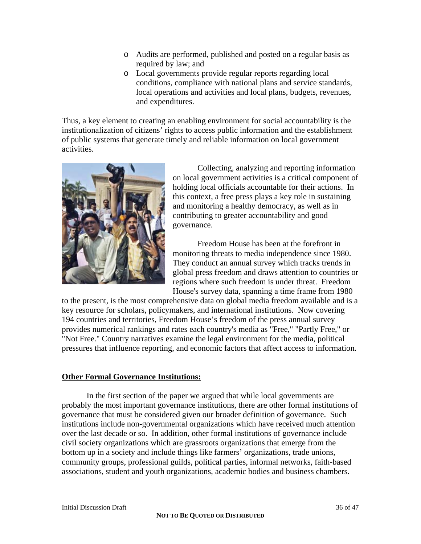- o Audits are performed, published and posted on a regular basis as required by law; and
- o Local governments provide regular reports regarding local conditions, compliance with national plans and service standards, local operations and activities and local plans, budgets, revenues, and expenditures.

Thus, a key element to creating an enabling environment for social accountability is the institutionalization of citizens' rights to access public information and the establishment of public systems that generate timely and reliable information on local government activities.



Collecting, analyzing and reporting information on local government activities is a critical component of holding local officials accountable for their actions. In this context, a free press plays a key role in sustaining and monitoring a healthy democracy, as well as in contributing to greater accountability and good governance.

Freedom House has been at the forefront in monitoring threats to media independence since 1980. They conduct an annual survey which tracks trends in global press freedom and draws attention to countries or regions where such freedom is under threat. Freedom House's survey data, spanning a time frame from 1980

to the present, is the most comprehensive data on global media freedom available and is a key resource for scholars, policymakers, and international institutions. Now covering 194 countries and territories, Freedom House's freedom of the press annual survey provides numerical rankings and rates each country's media as "Free," "Partly Free," or "Not Free." Country narratives examine the legal environment for the media, political pressures that influence reporting, and economic factors that affect access to information.

## **Other Formal Governance Institutions:**

 In the first section of the paper we argued that while local governments are probably the most important governance institutions, there are other formal institutions of governance that must be considered given our broader definition of governance. Such institutions include non-governmental organizations which have received much attention over the last decade or so. In addition, other formal institutions of governance include civil society organizations which are grassroots organizations that emerge from the bottom up in a society and include things like farmers' organizations, trade unions, community groups, professional guilds, political parties, informal networks, faith-based associations, student and youth organizations, academic bodies and business chambers.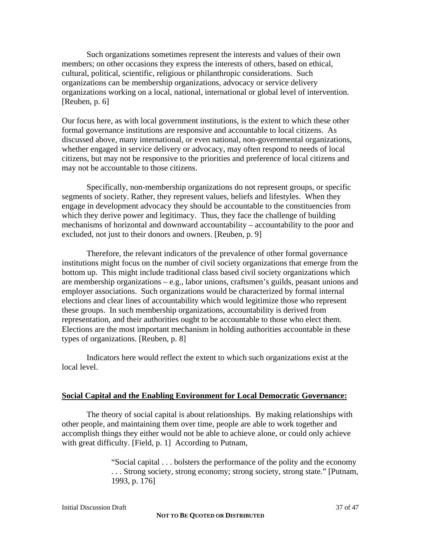Such organizations sometimes represent the interests and values of their own members; on other occasions they express the interests of others, based on ethical, cultural, political, scientific, religious or philanthropic considerations. Such organizations can be membership organizations, advocacy or service delivery organizations working on a local, national, international or global level of intervention. [Reuben, p. 6]

Our focus here, as with local government institutions, is the extent to which these other formal governance institutions are responsive and accountable to local citizens. As discussed above, many international, or even national, non-governmental organizations, whether engaged in service delivery or advocacy, may often respond to needs of local citizens, but may not be responsive to the priorities and preference of local citizens and may not be accountable to those citizens.

Specifically, non-membership organizations do not represent groups, or specific segments of society. Rather, they represent values, beliefs and lifestyles. When they engage in development advocacy they should be accountable to the constituencies from which they derive power and legitimacy. Thus, they face the challenge of building mechanisms of horizontal and downward accountability – accountability to the poor and excluded, not just to their donors and owners. [Reuben, p. 9]

Therefore, the relevant indicators of the prevalence of other formal governance institutions might focus on the number of civil society organizations that emerge from the bottom up. This might include traditional class based civil society organizations which are membership organizations – e.g., labor unions, craftsmen's guilds, peasant unions and employer associations. Such organizations would be characterized by formal internal elections and clear lines of accountability which would legitimize those who represent these groups. In such membership organizations, accountability is derived from representation, and their authorities ought to be accountable to those who elect them. Elections are the most important mechanism in holding authorities accountable in these types of organizations. [Reuben, p. 8]

 Indicators here would reflect the extent to which such organizations exist at the local level.

## **Social Capital and the Enabling Environment for Local Democratic Governance:**

The theory of social capital is about relationships. By making relationships with other people, and maintaining them over time, people are able to work together and accomplish things they either would not be able to achieve alone, or could only achieve with great difficulty. [Field, p. 1] According to Putnam,

> "Social capital . . . bolsters the performance of the polity and the economy . . . Strong society, strong economy; strong society, strong state." [Putnam, 1993, p. 176]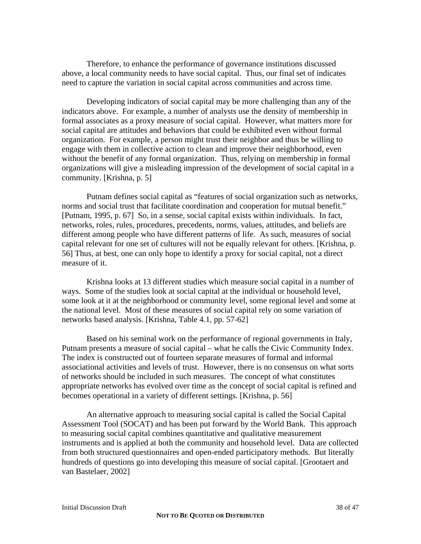Therefore, to enhance the performance of governance institutions discussed above, a local community needs to have social capital. Thus, our final set of indicates need to capture the variation in social capital across communities and across time.

 Developing indicators of social capital may be more challenging than any of the indicators above. For example, a number of analysts use the density of membership in formal associates as a proxy measure of social capital. However, what matters more for social capital are attitudes and behaviors that could be exhibited even without formal organization. For example, a person might trust their neighbor and thus be willing to engage with them in collective action to clean and improve their neighborhood, even without the benefit of any formal organization. Thus, relying on membership in formal organizations will give a misleading impression of the development of social capital in a community. [Krishna, p. 5]

 Putnam defines social capital as "features of social organization such as networks, norms and social trust that facilitate coordination and cooperation for mutual benefit." [Putnam, 1995, p. 67] So, in a sense, social capital exists within individuals. In fact, networks, roles, rules, procedures, precedents, norms, values, attitudes, and beliefs are different among people who have different patterns of life. As such, measures of social capital relevant for one set of cultures will not be equally relevant for others. [Krishna, p. 56] Thus, at best, one can only hope to identify a proxy for social capital, not a direct measure of it.

 Krishna looks at 13 different studies which measure social capital in a number of ways. Some of the studies look at social capital at the individual or household level, some look at it at the neighborhood or community level, some regional level and some at the national level. Most of these measures of social capital rely on some variation of networks based analysis. [Krishna, Table 4.1, pp. 57-62]

 Based on his seminal work on the performance of regional governments in Italy, Putnam presents a measure of social capital – what he calls the Civic Community Index. The index is constructed out of fourteen separate measures of formal and informal associational activities and levels of trust. However, there is no consensus on what sorts of networks should be included in such measures. The concept of what constitutes appropriate networks has evolved over time as the concept of social capital is refined and becomes operational in a variety of different settings. [Krishna, p. 56]

 An alternative approach to measuring social capital is called the Social Capital Assessment Tool (SOCAT) and has been put forward by the World Bank. This approach to measuring social capital combines quantitative and qualitative measurement instruments and is applied at both the community and household level. Data are collected from both structured questionnaires and open-ended participatory methods. But literally hundreds of questions go into developing this measure of social capital. [Grootaert and van Bastelaer, 2002]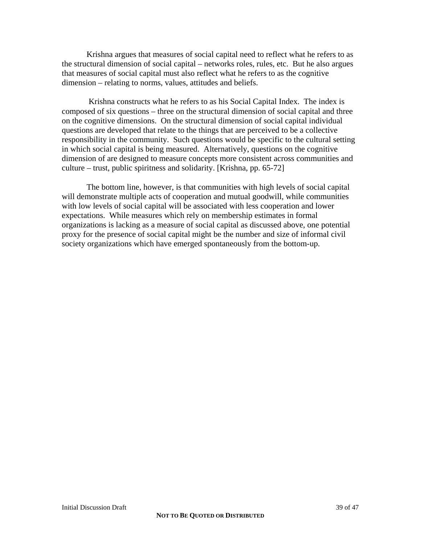Krishna argues that measures of social capital need to reflect what he refers to as the structural dimension of social capital – networks roles, rules, etc. But he also argues that measures of social capital must also reflect what he refers to as the cognitive dimension – relating to norms, values, attitudes and beliefs.

 Krishna constructs what he refers to as his Social Capital Index. The index is composed of six questions – three on the structural dimension of social capital and three on the cognitive dimensions. On the structural dimension of social capital individual questions are developed that relate to the things that are perceived to be a collective responsibility in the community. Such questions would be specific to the cultural setting in which social capital is being measured. Alternatively, questions on the cognitive dimension of are designed to measure concepts more consistent across communities and culture – trust, public spiritness and solidarity. [Krishna, pp. 65-72]

 The bottom line, however, is that communities with high levels of social capital will demonstrate multiple acts of cooperation and mutual goodwill, while communities with low levels of social capital will be associated with less cooperation and lower expectations. While measures which rely on membership estimates in formal organizations is lacking as a measure of social capital as discussed above, one potential proxy for the presence of social capital might be the number and size of informal civil society organizations which have emerged spontaneously from the bottom-up.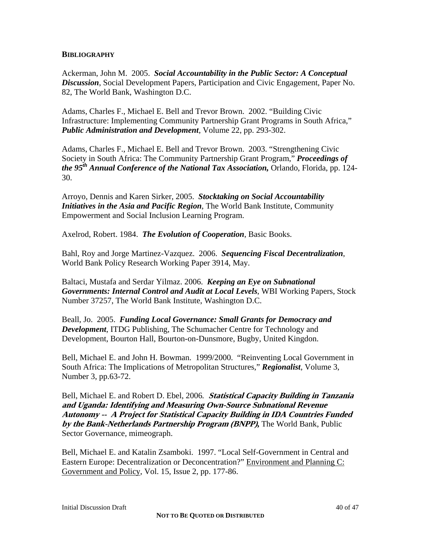#### **BIBLIOGRAPHY**

Ackerman, John M. 2005. *Social Accountability in the Public Sector: A Conceptual Discussion*, Social Development Papers, Participation and Civic Engagement, Paper No. 82, The World Bank, Washington D.C.

Adams, Charles F., Michael E. Bell and Trevor Brown. 2002. "Building Civic Infrastructure: Implementing Community Partnership Grant Programs in South Africa," *Public Administration and Development*, Volume 22, pp. 293-302.

Adams, Charles F., Michael E. Bell and Trevor Brown. 2003. "Strengthening Civic Society in South Africa: The Community Partnership Grant Program," *Proceedings of the 95th Annual Conference of the National Tax Association,* Orlando, Florida, pp. 124- 30.

Arroyo, Dennis and Karen Sirker, 2005. *Stocktaking on Social Accountability Initiatives in the Asia and Pacific Region*, The World Bank Institute, Community Empowerment and Social Inclusion Learning Program.

Axelrod, Robert. 1984. *The Evolution of Cooperation*, Basic Books.

Bahl, Roy and Jorge Martinez-Vazquez. 2006. *Sequencing Fiscal Decentralization*, World Bank Policy Research Working Paper 3914, May.

Baltaci, Mustafa and Serdar Yilmaz. 2006. *Keeping an Eye on Subnational Governments: Internal Control and Audit at Local Levels*, WBI Working Papers, Stock Number 37257, The World Bank Institute, Washington D.C.

Beall, Jo. 2005. *Funding Local Governance: Small Grants for Democracy and Development*, ITDG Publishing, The Schumacher Centre for Technology and Development, Bourton Hall, Bourton-on-Dunsmore, Bugby, United Kingdon.

Bell, Michael E. and John H. Bowman. 1999/2000. "Reinventing Local Government in South Africa: The Implications of Metropolitan Structures," *Regionalist*, Volume 3, Number 3, pp.63-72.

Bell, Michael E. and Robert D. Ebel, 2006*.* **Statistical Capacity Building in Tanzania and Uganda: Identifying and Measuring Own-Source Subnational Revenue Autonomy -- A Project for Statistical Capacity Building in IDA Countries Funded by the Bank-Netherlands Partnership Program (BNPP),** The World Bank, Public Sector Governance, mimeograph.

Bell, Michael E. and Katalin Zsamboki. 1997. "Local Self-Government in Central and Eastern Europe: Decentralization or Deconcentration?" Environment and Planning C: Government and Policy, Vol. 15, Issue 2, pp. 177-86.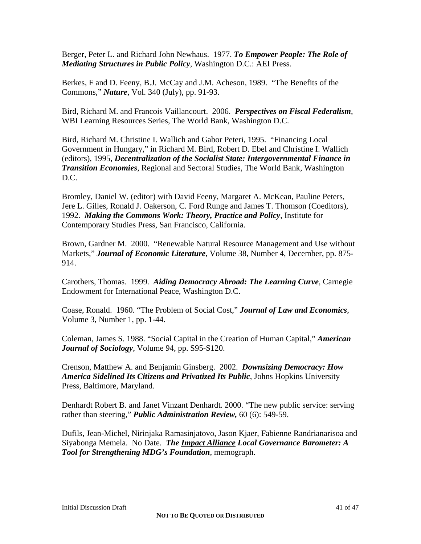Berger, Peter L. and Richard John Newhaus. 1977. *To Empower People: The Role of Mediating Structures in Public Policy*, Washington D.C.: AEI Press.

Berkes, F and D. Feeny, B.J. McCay and J.M. Acheson, 1989. "The Benefits of the Commons," *Nature*, Vol. 340 (July), pp. 91-93.

Bird, Richard M. and Francois Vaillancourt. 2006. *Perspectives on Fiscal Federalism*, WBI Learning Resources Series, The World Bank, Washington D.C.

Bird, Richard M. Christine I. Wallich and Gabor Peteri, 1995. "Financing Local Government in Hungary," in Richard M. Bird, Robert D. Ebel and Christine I. Wallich (editors), 1995, *Decentralization of the Socialist State: Intergovernmental Finance in Transition Economies*, Regional and Sectoral Studies, The World Bank, Washington D.C.

Bromley, Daniel W. (editor) with David Feeny, Margaret A. McKean, Pauline Peters, Jere L. Gilles, Ronald J. Oakerson, C. Ford Runge and James T. Thomson (Coeditors), 1992. *Making the Commons Work: Theory, Practice and Policy*, Institute for Contemporary Studies Press, San Francisco, California.

Brown, Gardner M. 2000. "Renewable Natural Resource Management and Use without Markets," *Journal of Economic Literature*, Volume 38, Number 4, December, pp. 875- 914.

Carothers, Thomas. 1999. *Aiding Democracy Abroad: The Learning Curve*, Carnegie Endowment for International Peace, Washington D.C.

Coase, Ronald. 1960. "The Problem of Social Cost," *Journal of Law and Economics*, Volume 3, Number 1, pp. 1-44.

Coleman, James S. 1988. "Social Capital in the Creation of Human Capital," *American Journal of Sociology*, Volume 94, pp. S95-S120.

Crenson, Matthew A. and Benjamin Ginsberg. 2002. *Downsizing Democracy: How America Sidelined Its Citizens and Privatized Its Public*, Johns Hopkins University Press, Baltimore, Maryland.

Denhardt Robert B. and Janet Vinzant Denhardt. 2000. "The new public service: serving rather than steering," *Public Administration Review,* 60 (6): 549-59.

Dufils, Jean-Michel, Nirinjaka Ramasinjatovo, Jason Kjaer, Fabienne Randrianarisoa and Siyabonga Memela. No Date. *The Impact Alliance Local Governance Barometer: A Tool for Strengthening MDG's Foundation*, memograph.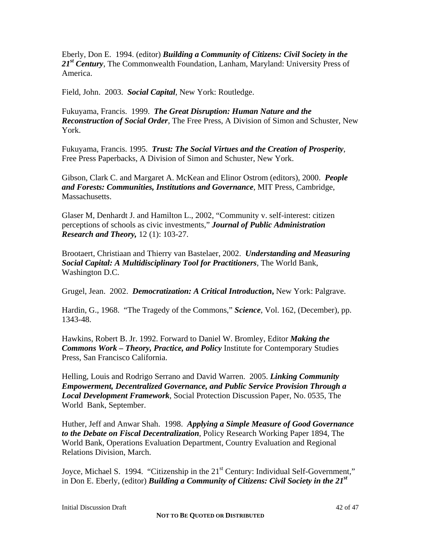Eberly, Don E. 1994. (editor) *Building a Community of Citizens: Civil Society in the*  21<sup>st</sup> Century, The Commonwealth Foundation, Lanham, Maryland: University Press of America.

Field, John. 2003. *Social Capital*, New York: Routledge.

Fukuyama, Francis. 1999. *The Great Disruption: Human Nature and the Reconstruction of Social Order*, The Free Press, A Division of Simon and Schuster, New York.

Fukuyama, Francis. 1995. *Trust: The Social Virtues and the Creation of Prosperity*, Free Press Paperbacks, A Division of Simon and Schuster, New York.

Gibson, Clark C. and Margaret A. McKean and Elinor Ostrom (editors), 2000. *People and Forests: Communities, Institutions and Governance*, MIT Press, Cambridge, Massachusetts.

Glaser M, Denhardt J. and Hamilton L., 2002, "Community v. self-interest: citizen perceptions of schools as civic investments," *Journal of Public Administration Research and Theory,* 12 (1): 103-27.

Brootaert, Christiaan and Thierry van Bastelaer, 2002. *Understanding and Measuring Social Capital: A Multidisciplinary Tool for Practitioners*, The World Bank, Washington D.C.

Grugel, Jean. 2002. *Democratization: A Critical Introduction***,** New York: Palgrave.

Hardin, G., 1968. "The Tragedy of the Commons," *Science*, Vol. 162, (December), pp. 1343-48.

Hawkins, Robert B. Jr. 1992. Forward to Daniel W. Bromley, Editor *Making the Commons Work – Theory, Practice, and Policy* Institute for Contemporary Studies Press, San Francisco California.

Helling, Louis and Rodrigo Serrano and David Warren. 2005. *Linking Community Empowerment, Decentralized Governance, and Public Service Provision Through a Local Development Framework*, Social Protection Discussion Paper, No. 0535, The World Bank, September.

Huther, Jeff and Anwar Shah. 1998. *Applying a Simple Measure of Good Governance to the Debate on Fiscal Decentralization*, Policy Research Working Paper 1894, The World Bank, Operations Evaluation Department, Country Evaluation and Regional Relations Division, March.

Joyce, Michael S. 1994. "Citizenship in the 21<sup>st</sup> Century: Individual Self-Government," in Don E. Eberly, (editor) *Building a Community of Citizens: Civil Society in the 21st*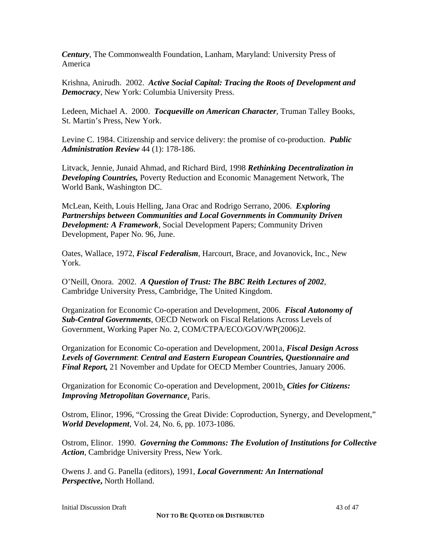*Century*, The Commonwealth Foundation, Lanham, Maryland: University Press of America

Krishna, Anirudh. 2002. *Active Social Capital: Tracing the Roots of Development and Democracy*, New York: Columbia University Press.

Ledeen, Michael A. 2000. *Tocqueville on American Character*, Truman Talley Books, St. Martin's Press, New York.

Levine C. 1984. Citizenship and service delivery: the promise of co-production. *Public Administration Review* 44 (1): 178-186.

Litvack, Jennie, Junaid Ahmad, and Richard Bird, 1998 *Rethinking Decentralization in Developing Countries,* Poverty Reduction and Economic Management Network, The World Bank, Washington DC.

McLean, Keith, Louis Helling, Jana Orac and Rodrigo Serrano, 2006. *Exploring Partnerships between Communities and Local Governments in Community Driven Development: A Framework*, Social Development Papers; Community Driven Development, Paper No. 96, June.

Oates, Wallace, 1972, *Fiscal Federalism*, Harcourt, Brace, and Jovanovick, Inc., New York.

O'Neill, Onora. 2002. *A Question of Trust: The BBC Reith Lectures of 2002*, Cambridge University Press, Cambridge, The United Kingdom.

Organization for Economic Co-operation and Development, 2006. *Fiscal Autonomy of Sub-Central Governments*, OECD Network on Fiscal Relations Across Levels of Government, Working Paper No. 2, COM/CTPA/ECO/GOV/WP(2006)2.

Organization for Economic Co-operation and Development, 2001a, *Fiscal Design Across Levels of Government*: *Central and Eastern European Countries, Questionnaire and Final Report,* 21 November and Update for OECD Member Countries, January 2006.

Organization for Economic Co-operation and Development, 2001b. *Cities for Citizens: Improving Metropolitan Governance*, Paris.

Ostrom, Elinor, 1996, "Crossing the Great Divide: Coproduction, Synergy, and Development," *World Development*, Vol. 24, No. 6, pp. 1073-1086.

Ostrom, Elinor. 1990. *Governing the Commons: The Evolution of Institutions for Collective Action*, Cambridge University Press, New York.

Owens J. and G. Panella (editors), 1991, *Local Government: An International Perspective***,** North Holland.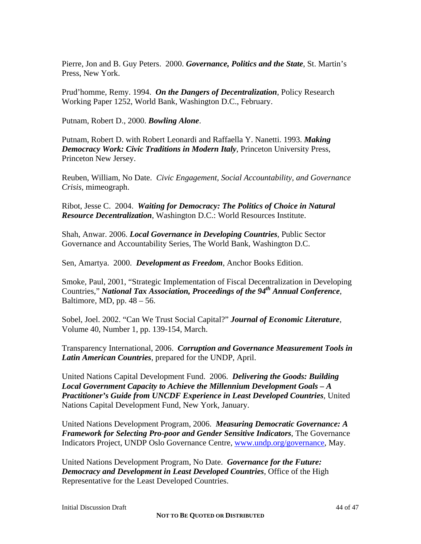Pierre, Jon and B. Guy Peters. 2000. *Governance, Politics and the State*, St. Martin's Press, New York.

Prud'homme, Remy. 1994. *On the Dangers of Decentralization*, Policy Research Working Paper 1252, World Bank, Washington D.C., February.

Putnam, Robert D., 2000. *Bowling Alone*.

Putnam, Robert D. with Robert Leonardi and Raffaella Y. Nanetti. 1993. *Making Democracy Work: Civic Traditions in Modern Italy*, Princeton University Press, Princeton New Jersey.

Reuben, William, No Date. *Civic Engagement, Social Accountability, and Governance Crisis,* mimeograph.

Ribot, Jesse C. 2004. *Waiting for Democracy: The Politics of Choice in Natural Resource Decentralization*, Washington D.C.: World Resources Institute.

Shah, Anwar. 2006. *Local Governance in Developing Countries*, Public Sector Governance and Accountability Series, The World Bank, Washington D.C.

Sen, Amartya. 2000. *Development as Freedom*, Anchor Books Edition.

Smoke, Paul, 2001, "Strategic Implementation of Fiscal Decentralization in Developing Countries," *National Tax Association, Proceedings of the 94th Annual Conference*, Baltimore, MD, pp.  $48 - 56$ .

Sobel, Joel. 2002. "Can We Trust Social Capital?" *Journal of Economic Literature*, Volume 40, Number 1, pp. 139-154, March.

Transparency International, 2006. *Corruption and Governance Measurement Tools in Latin American Countries*, prepared for the UNDP, April.

United Nations Capital Development Fund. 2006. *Delivering the Goods: Building Local Government Capacity to Achieve the Millennium Development Goals – A Practitioner's Guide from UNCDF Experience in Least Developed Countries*, United Nations Capital Development Fund, New York, January.

United Nations Development Program, 2006. *Measuring Democratic Governance: A Framework for Selecting Pro-poor and Gender Sensitive Indicators*, The Governance Indicators Project, UNDP Oslo Governance Centre, www.undp.org/governance, May.

United Nations Development Program, No Date. *Governance for the Future: Democracy and Development in Least Developed Countries*, Office of the High Representative for the Least Developed Countries.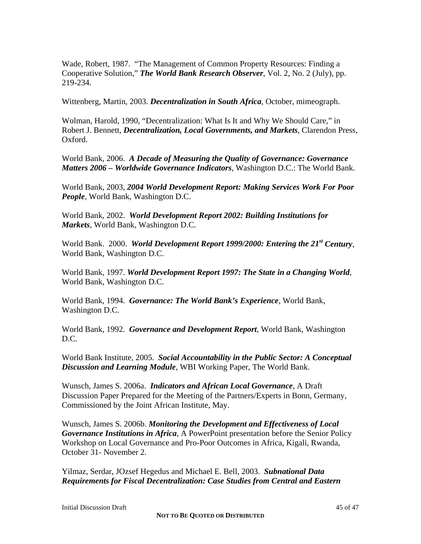Wade, Robert, 1987. "The Management of Common Property Resources: Finding a Cooperative Solution," *The World Bank Research Observer*, Vol. 2, No. 2 (July), pp. 219-234.

Wittenberg, Martin, 2003. *Decentralization in South Africa*, October, mimeograph.

Wolman, Harold, 1990, "Decentralization: What Is It and Why We Should Care," in Robert J. Bennett, *Decentralization, Local Governments, and Markets*, Clarendon Press, Oxford.

World Bank, 2006. *A Decade of Measuring the Quality of Governance: Governance Matters 2006 – Worldwide Governance Indicators*, Washington D.C.: The World Bank.

World Bank, 2003, *2004 World Development Report: Making Services Work For Poor People*, World Bank, Washington D.C.

World Bank, 2002. *World Development Report 2002: Building Institutions for Markets*, World Bank, Washington D.C.

World Bank. 2000. *World Development Report 1999/2000: Entering the 21st Century*, World Bank, Washington D.C.

World Bank, 1997. *World Development Report 1997: The State in a Changing World*, World Bank, Washington D.C.

World Bank, 1994. *Governance: The World Bank's Experience*, World Bank, Washington D.C.

World Bank, 1992. *Governance and Development Report*, World Bank, Washington D.C.

World Bank Institute, 2005. *Social Accountability in the Public Sector: A Conceptual Discussion and Learning Module*, WBI Working Paper, The World Bank.

Wunsch, James S. 2006a. *Indicators and African Local Governance*, A Draft Discussion Paper Prepared for the Meeting of the Partners/Experts in Bonn, Germany, Commissioned by the Joint African Institute, May.

Wunsch, James S. 2006b. *Monitoring the Development and Effectiveness of Local Governance Institutions in Africa*, A PowerPoint presentation before the Senior Policy Workshop on Local Governance and Pro-Poor Outcomes in Africa, Kigali, Rwanda, October 31- November 2.

Yilmaz, Serdar, JOzsef Hegedus and Michael E. Bell, 2003. *Subnational Data Requirements for Fiscal Decentralization: Case Studies from Central and Eastern*